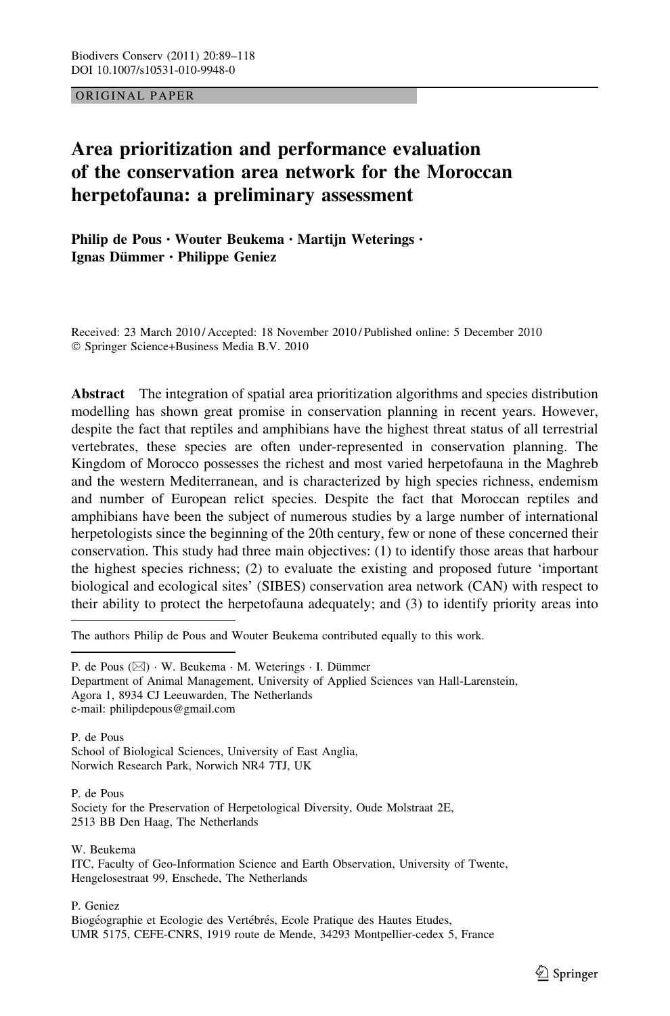ORIGINAL PAPER

# Area prioritization and performance evaluation of the conservation area network for the Moroccan herpetofauna: a preliminary assessment

Philip de Pous • Wouter Beukema • Martijn Weterings • Ignas Dümmer · Philippe Geniez

Received: 23 March 2010 / Accepted: 18 November 2010 / Published online: 5 December 2010 - Springer Science+Business Media B.V. 2010

Abstract The integration of spatial area prioritization algorithms and species distribution modelling has shown great promise in conservation planning in recent years. However, despite the fact that reptiles and amphibians have the highest threat status of all terrestrial vertebrates, these species are often under-represented in conservation planning. The Kingdom of Morocco possesses the richest and most varied herpetofauna in the Maghreb and the western Mediterranean, and is characterized by high species richness, endemism and number of European relict species. Despite the fact that Moroccan reptiles and amphibians have been the subject of numerous studies by a large number of international herpetologists since the beginning of the 20th century, few or none of these concerned their conservation. This study had three main objectives: (1) to identify those areas that harbour the highest species richness; (2) to evaluate the existing and proposed future 'important biological and ecological sites' (SIBES) conservation area network (CAN) with respect to their ability to protect the herpetofauna adequately; and (3) to identify priority areas into

The authors Philip de Pous and Wouter Beukema contributed equally to this work.

P. de Pous (⊠) · W. Beukema · M. Weterings · I. Dümmer Department of Animal Management, University of Applied Sciences van Hall-Larenstein, Agora 1, 8934 CJ Leeuwarden, The Netherlands e-mail: philipdepous@gmail.com

P. de Pous School of Biological Sciences, University of East Anglia, Norwich Research Park, Norwich NR4 7TJ, UK

P. de Pous Society for the Preservation of Herpetological Diversity, Oude Molstraat 2E, 2513 BB Den Haag, The Netherlands

W. Beukema

ITC, Faculty of Geo-Information Science and Earth Observation, University of Twente, Hengelosestraat 99, Enschede, The Netherlands

P. Geniez

Biogéographie et Ecologie des Vertébrés, Ecole Pratique des Hautes Etudes, UMR 5175, CEFE-CNRS, 1919 route de Mende, 34293 Montpellier-cedex 5, France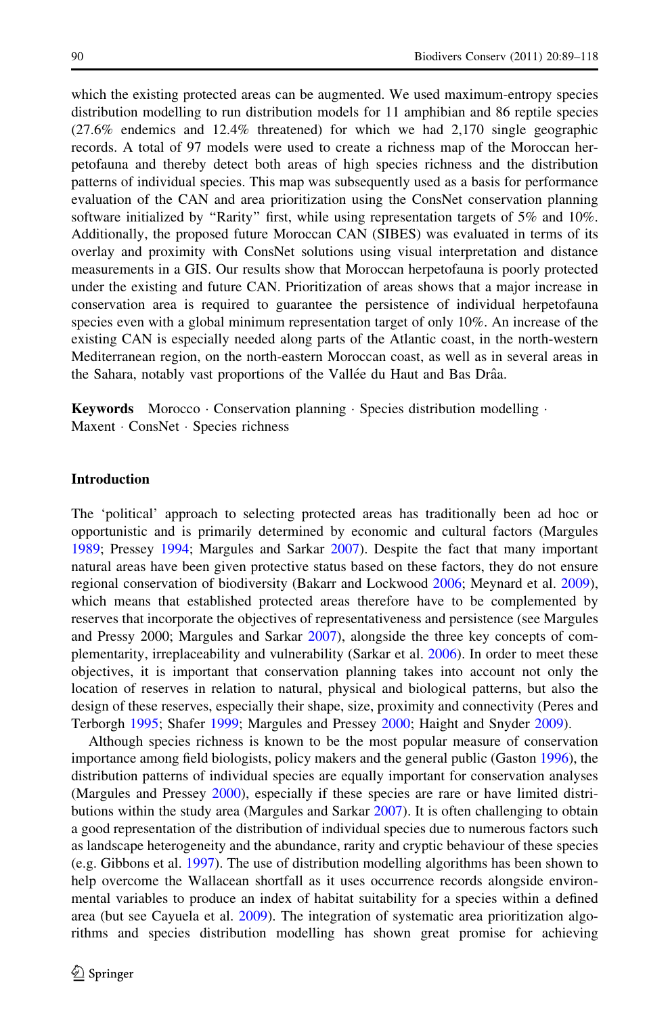which the existing protected areas can be augmented. We used maximum-entropy species distribution modelling to run distribution models for 11 amphibian and 86 reptile species (27.6% endemics and 12.4% threatened) for which we had 2,170 single geographic records. A total of 97 models were used to create a richness map of the Moroccan herpetofauna and thereby detect both areas of high species richness and the distribution patterns of individual species. This map was subsequently used as a basis for performance evaluation of the CAN and area prioritization using the ConsNet conservation planning software initialized by "Rarity" first, while using representation targets of 5% and 10%. Additionally, the proposed future Moroccan CAN (SIBES) was evaluated in terms of its overlay and proximity with ConsNet solutions using visual interpretation and distance measurements in a GIS. Our results show that Moroccan herpetofauna is poorly protected under the existing and future CAN. Prioritization of areas shows that a major increase in conservation area is required to guarantee the persistence of individual herpetofauna species even with a global minimum representation target of only 10%. An increase of the existing CAN is especially needed along parts of the Atlantic coast, in the north-western Mediterranean region, on the north-eastern Moroccan coast, as well as in several areas in the Sahara, notably vast proportions of the Vallée du Haut and Bas Drâa.

Keywords Morocco · Conservation planning · Species distribution modelling · Maxent · ConsNet · Species richness

#### Introduction

The 'political' approach to selecting protected areas has traditionally been ad hoc or opportunistic and is primarily determined by economic and cultural factors (Margules [1989;](#page-27-0) Pressey [1994](#page-28-0); Margules and Sarkar [2007\)](#page-27-0). Despite the fact that many important natural areas have been given protective status based on these factors, they do not ensure regional conservation of biodiversity (Bakarr and Lockwood [2006;](#page-25-0) Meynard et al. [2009](#page-27-0)), which means that established protected areas therefore have to be complemented by reserves that incorporate the objectives of representativeness and persistence (see Margules and Pressy 2000; Margules and Sarkar [2007](#page-27-0)), alongside the three key concepts of complementarity, irreplaceability and vulnerability (Sarkar et al. [2006\)](#page-28-0). In order to meet these objectives, it is important that conservation planning takes into account not only the location of reserves in relation to natural, physical and biological patterns, but also the design of these reserves, especially their shape, size, proximity and connectivity (Peres and Terborgh [1995](#page-28-0); Shafer [1999;](#page-28-0) Margules and Pressey [2000](#page-27-0); Haight and Snyder [2009\)](#page-26-0).

Although species richness is known to be the most popular measure of conservation importance among field biologists, policy makers and the general public (Gaston [1996](#page-26-0)), the distribution patterns of individual species are equally important for conservation analyses (Margules and Pressey [2000](#page-27-0)), especially if these species are rare or have limited distributions within the study area (Margules and Sarkar [2007](#page-27-0)). It is often challenging to obtain a good representation of the distribution of individual species due to numerous factors such as landscape heterogeneity and the abundance, rarity and cryptic behaviour of these species (e.g. Gibbons et al. [1997\)](#page-26-0). The use of distribution modelling algorithms has been shown to help overcome the Wallacean shortfall as it uses occurrence records alongside environmental variables to produce an index of habitat suitability for a species within a defined area (but see Cayuela et al. [2009\)](#page-25-0). The integration of systematic area prioritization algorithms and species distribution modelling has shown great promise for achieving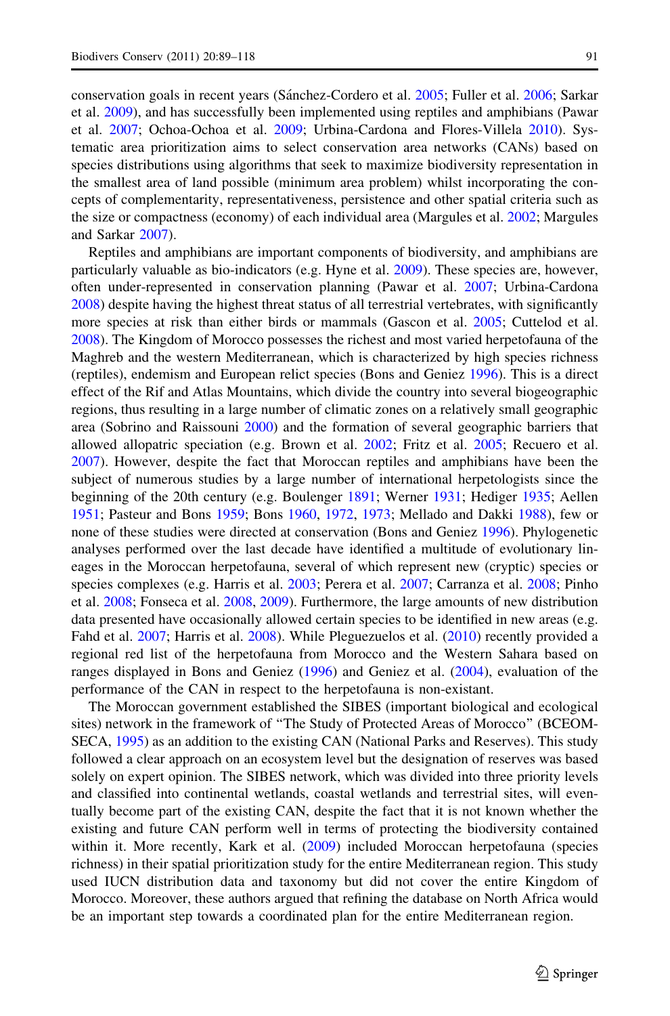conservation goals in recent years (Sánchez-Cordero et al. [2005](#page-28-0); Fuller et al. [2006;](#page-26-0) Sarkar et al. [2009](#page-28-0)), and has successfully been implemented using reptiles and amphibians (Pawar et al. [2007;](#page-28-0) Ochoa-Ochoa et al. [2009;](#page-27-0) Urbina-Cardona and Flores-Villela [2010\)](#page-29-0). Systematic area prioritization aims to select conservation area networks (CANs) based on species distributions using algorithms that seek to maximize biodiversity representation in the smallest area of land possible (minimum area problem) whilst incorporating the concepts of complementarity, representativeness, persistence and other spatial criteria such as the size or compactness (economy) of each individual area (Margules et al. [2002;](#page-27-0) Margules and Sarkar [2007](#page-27-0)).

Reptiles and amphibians are important components of biodiversity, and amphibians are particularly valuable as bio-indicators (e.g. Hyne et al. [2009](#page-27-0)). These species are, however, often under-represented in conservation planning (Pawar et al. [2007;](#page-28-0) Urbina-Cardona [2008\)](#page-29-0) despite having the highest threat status of all terrestrial vertebrates, with significantly more species at risk than either birds or mammals (Gascon et al. [2005](#page-26-0); Cuttelod et al. [2008\)](#page-25-0). The Kingdom of Morocco possesses the richest and most varied herpetofauna of the Maghreb and the western Mediterranean, which is characterized by high species richness (reptiles), endemism and European relict species (Bons and Geniez [1996\)](#page-25-0). This is a direct effect of the Rif and Atlas Mountains, which divide the country into several biogeographic regions, thus resulting in a large number of climatic zones on a relatively small geographic area (Sobrino and Raissouni [2000](#page-28-0)) and the formation of several geographic barriers that allowed allopatric speciation (e.g. Brown et al. [2002;](#page-25-0) Fritz et al. [2005;](#page-26-0) Recuero et al. [2007\)](#page-28-0). However, despite the fact that Moroccan reptiles and amphibians have been the subject of numerous studies by a large number of international herpetologists since the beginning of the 20th century (e.g. Boulenger [1891;](#page-25-0) Werner [1931](#page-29-0); Hediger [1935](#page-26-0); Aellen [1951;](#page-24-0) Pasteur and Bons [1959;](#page-28-0) Bons [1960,](#page-25-0) [1972](#page-25-0), [1973](#page-25-0); Mellado and Dakki [1988\)](#page-27-0), few or none of these studies were directed at conservation (Bons and Geniez [1996\)](#page-25-0). Phylogenetic analyses performed over the last decade have identified a multitude of evolutionary lineages in the Moroccan herpetofauna, several of which represent new (cryptic) species or species complexes (e.g. Harris et al. [2003;](#page-26-0) Perera et al. [2007](#page-28-0); Carranza et al. [2008;](#page-25-0) Pinho et al. [2008;](#page-28-0) Fonseca et al. [2008,](#page-26-0) [2009\)](#page-26-0). Furthermore, the large amounts of new distribution data presented have occasionally allowed certain species to be identified in new areas (e.g. Fahd et al. [2007](#page-26-0); Harris et al. [2008\)](#page-26-0). While Pleguezuelos et al. ([2010\)](#page-28-0) recently provided a regional red list of the herpetofauna from Morocco and the Western Sahara based on ranges displayed in Bons and Geniez [\(1996](#page-25-0)) and Geniez et al. ([2004\)](#page-26-0), evaluation of the performance of the CAN in respect to the herpetofauna is non-existant.

The Moroccan government established the SIBES (important biological and ecological sites) network in the framework of ''The Study of Protected Areas of Morocco'' (BCEOM-SECA, [1995\)](#page-25-0) as an addition to the existing CAN (National Parks and Reserves). This study followed a clear approach on an ecosystem level but the designation of reserves was based solely on expert opinion. The SIBES network, which was divided into three priority levels and classified into continental wetlands, coastal wetlands and terrestrial sites, will eventually become part of the existing CAN, despite the fact that it is not known whether the existing and future CAN perform well in terms of protecting the biodiversity contained within it. More recently, Kark et al. [\(2009](#page-27-0)) included Moroccan herpetofauna (species richness) in their spatial prioritization study for the entire Mediterranean region. This study used IUCN distribution data and taxonomy but did not cover the entire Kingdom of Morocco. Moreover, these authors argued that refining the database on North Africa would be an important step towards a coordinated plan for the entire Mediterranean region.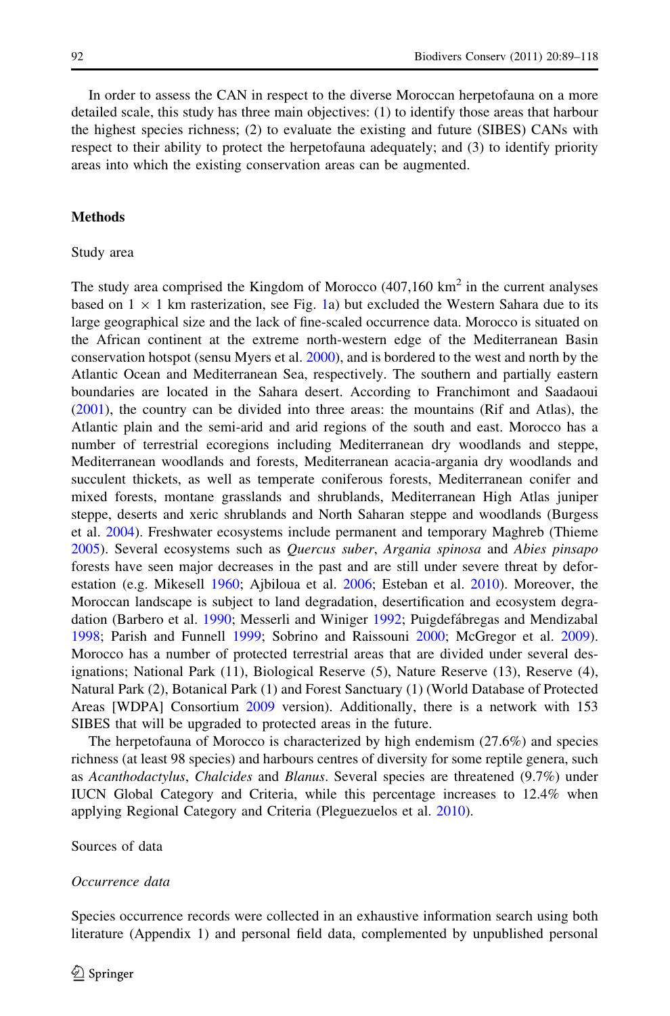In order to assess the CAN in respect to the diverse Moroccan herpetofauna on a more detailed scale, this study has three main objectives: (1) to identify those areas that harbour the highest species richness; (2) to evaluate the existing and future (SIBES) CANs with respect to their ability to protect the herpetofauna adequately; and (3) to identify priority areas into which the existing conservation areas can be augmented.

#### **Methods**

#### Study area

The study area comprised the Kingdom of Morocco  $(407,160 \text{ km}^2)$  in the current analyses based on  $1 \times 1$  km rasterization, see Fig. [1a](#page-4-0)) but excluded the Western Sahara due to its large geographical size and the lack of fine-scaled occurrence data. Morocco is situated on the African continent at the extreme north-western edge of the Mediterranean Basin conservation hotspot (sensu Myers et al. [2000\)](#page-27-0), and is bordered to the west and north by the Atlantic Ocean and Mediterranean Sea, respectively. The southern and partially eastern boundaries are located in the Sahara desert. According to Franchimont and Saadaoui ([2001\)](#page-26-0), the country can be divided into three areas: the mountains (Rif and Atlas), the Atlantic plain and the semi-arid and arid regions of the south and east. Morocco has a number of terrestrial ecoregions including Mediterranean dry woodlands and steppe, Mediterranean woodlands and forests, Mediterranean acacia-argania dry woodlands and succulent thickets, as well as temperate coniferous forests, Mediterranean conifer and mixed forests, montane grasslands and shrublands, Mediterranean High Atlas juniper steppe, deserts and xeric shrublands and North Saharan steppe and woodlands (Burgess et al. [2004](#page-25-0)). Freshwater ecosystems include permanent and temporary Maghreb (Thieme [2005\)](#page-28-0). Several ecosystems such as Quercus suber, Argania spinosa and Abies pinsapo forests have seen major decreases in the past and are still under severe threat by deforestation (e.g. Mikesell [1960](#page-27-0); Ajbiloua et al. [2006](#page-24-0); Esteban et al. [2010\)](#page-26-0). Moreover, the Moroccan landscape is subject to land degradation, desertification and ecosystem degra-dation (Barbero et al. [1990;](#page-25-0) Messerli and Winiger [1992;](#page-27-0) Puigdefábregas and Mendizabal [1998;](#page-28-0) Parish and Funnell [1999](#page-27-0); Sobrino and Raissouni [2000](#page-28-0); McGregor et al. [2009](#page-27-0)). Morocco has a number of protected terrestrial areas that are divided under several designations; National Park (11), Biological Reserve (5), Nature Reserve (13), Reserve (4), Natural Park (2), Botanical Park (1) and Forest Sanctuary (1) (World Database of Protected Areas [WDPA] Consortium [2009](#page-25-0) version). Additionally, there is a network with 153 SIBES that will be upgraded to protected areas in the future.

The herpetofauna of Morocco is characterized by high endemism (27.6%) and species richness (at least 98 species) and harbours centres of diversity for some reptile genera, such as Acanthodactylus, Chalcides and Blanus. Several species are threatened (9.7%) under IUCN Global Category and Criteria, while this percentage increases to 12.4% when applying Regional Category and Criteria (Pleguezuelos et al. [2010](#page-28-0)).

#### Sources of data

#### Occurrence data

Species occurrence records were collected in an exhaustive information search using both literature (Appendix 1) and personal field data, complemented by unpublished personal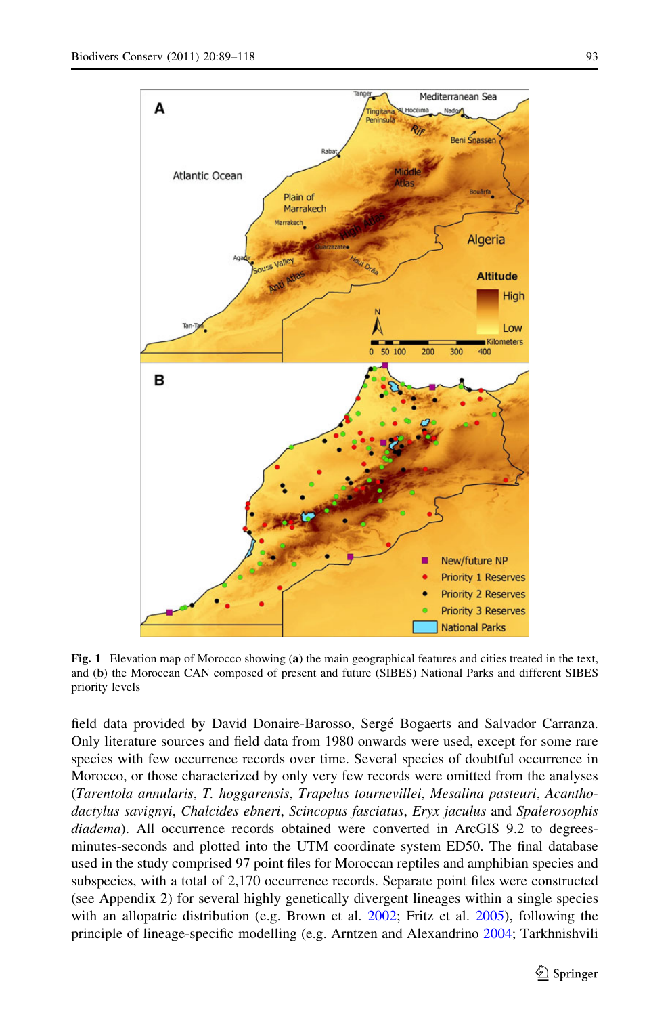<span id="page-4-0"></span>

Fig. 1 Elevation map of Morocco showing (a) the main geographical features and cities treated in the text, and (b) the Moroccan CAN composed of present and future (SIBES) National Parks and different SIBES priority levels

field data provided by David Donaire-Barosso, Serge´ Bogaerts and Salvador Carranza. Only literature sources and field data from 1980 onwards were used, except for some rare species with few occurrence records over time. Several species of doubtful occurrence in Morocco, or those characterized by only very few records were omitted from the analyses (Tarentola annularis, T. hoggarensis, Trapelus tournevillei, Mesalina pasteuri, Acanthodactylus savignyi, Chalcides ebneri, Scincopus fasciatus, Eryx jaculus and Spalerosophis diadema). All occurrence records obtained were converted in ArcGIS 9.2 to degreesminutes-seconds and plotted into the UTM coordinate system ED50. The final database used in the study comprised 97 point files for Moroccan reptiles and amphibian species and subspecies, with a total of 2,170 occurrence records. Separate point files were constructed (see Appendix 2) for several highly genetically divergent lineages within a single species with an allopatric distribution (e.g. Brown et al. [2002](#page-25-0); Fritz et al. [2005](#page-26-0)), following the principle of lineage-specific modelling (e.g. Arntzen and Alexandrino [2004](#page-25-0); Tarkhnishvili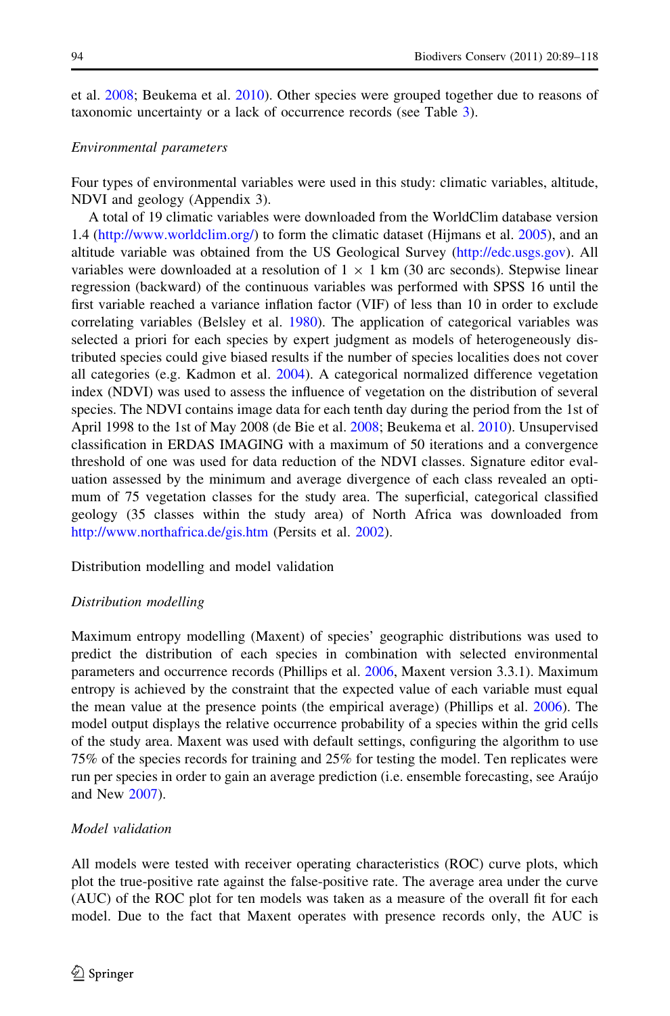et al. [2008;](#page-28-0) Beukema et al. [2010](#page-25-0)). Other species were grouped together due to reasons of taxonomic uncertainty or a lack of occurrence records (see Table [3](#page-16-0)).

## Environmental parameters

Four types of environmental variables were used in this study: climatic variables, altitude, NDVI and geology (Appendix 3).

A total of 19 climatic variables were downloaded from the WorldClim database version 1.4 [\(http://www.worldclim.org/\)](http://www.worldclim.org/) to form the climatic dataset (Hijmans et al. [2005](#page-26-0)), and an altitude variable was obtained from the US Geological Survey (<http://edc.usgs.gov>). All variables were downloaded at a resolution of  $1 \times 1$  km (30 arc seconds). Stepwise linear regression (backward) of the continuous variables was performed with SPSS 16 until the first variable reached a variance inflation factor (VIF) of less than 10 in order to exclude correlating variables (Belsley et al. [1980](#page-25-0)). The application of categorical variables was selected a priori for each species by expert judgment as models of heterogeneously distributed species could give biased results if the number of species localities does not cover all categories (e.g. Kadmon et al. [2004](#page-27-0)). A categorical normalized difference vegetation index (NDVI) was used to assess the influence of vegetation on the distribution of several species. The NDVI contains image data for each tenth day during the period from the 1st of April 1998 to the 1st of May 2008 (de Bie et al. [2008;](#page-26-0) Beukema et al. [2010\)](#page-25-0). Unsupervised classification in ERDAS IMAGING with a maximum of 50 iterations and a convergence threshold of one was used for data reduction of the NDVI classes. Signature editor evaluation assessed by the minimum and average divergence of each class revealed an optimum of 75 vegetation classes for the study area. The superficial, categorical classified geology (35 classes within the study area) of North Africa was downloaded from <http://www.northafrica.de/gis.htm> (Persits et al. [2002](#page-28-0)).

Distribution modelling and model validation

#### Distribution modelling

Maximum entropy modelling (Maxent) of species' geographic distributions was used to predict the distribution of each species in combination with selected environmental parameters and occurrence records (Phillips et al. [2006](#page-28-0), Maxent version 3.3.1). Maximum entropy is achieved by the constraint that the expected value of each variable must equal the mean value at the presence points (the empirical average) (Phillips et al. [2006\)](#page-28-0). The model output displays the relative occurrence probability of a species within the grid cells of the study area. Maxent was used with default settings, configuring the algorithm to use 75% of the species records for training and 25% for testing the model. Ten replicates were run per species in order to gain an average prediction (i.e. ensemble forecasting, see Arau´jo and New [2007\)](#page-25-0).

## Model validation

All models were tested with receiver operating characteristics (ROC) curve plots, which plot the true-positive rate against the false-positive rate. The average area under the curve (AUC) of the ROC plot for ten models was taken as a measure of the overall fit for each model. Due to the fact that Maxent operates with presence records only, the AUC is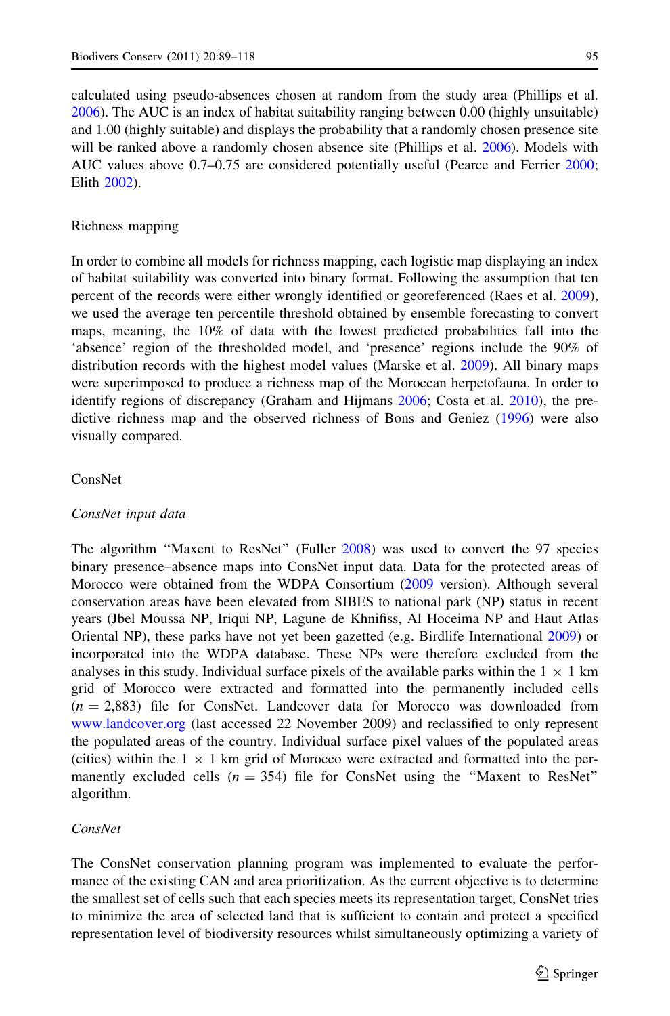calculated using pseudo-absences chosen at random from the study area (Phillips et al. [2006\)](#page-28-0). The AUC is an index of habitat suitability ranging between 0.00 (highly unsuitable) and 1.00 (highly suitable) and displays the probability that a randomly chosen presence site will be ranked above a randomly chosen absence site (Phillips et al. [2006](#page-28-0)). Models with AUC values above 0.7–0.75 are considered potentially useful (Pearce and Ferrier [2000;](#page-28-0) Elith [2002](#page-26-0)).

#### Richness mapping

In order to combine all models for richness mapping, each logistic map displaying an index of habitat suitability was converted into binary format. Following the assumption that ten percent of the records were either wrongly identified or georeferenced (Raes et al. [2009](#page-28-0)), we used the average ten percentile threshold obtained by ensemble forecasting to convert maps, meaning, the 10% of data with the lowest predicted probabilities fall into the 'absence' region of the thresholded model, and 'presence' regions include the 90% of distribution records with the highest model values (Marske et al. [2009](#page-27-0)). All binary maps were superimposed to produce a richness map of the Moroccan herpetofauna. In order to identify regions of discrepancy (Graham and Hijmans [2006](#page-26-0); Costa et al. [2010](#page-25-0)), the predictive richness map and the observed richness of Bons and Geniez [\(1996](#page-25-0)) were also visually compared.

#### ConsNet

## ConsNet input data

The algorithm ''Maxent to ResNet'' (Fuller [2008](#page-26-0)) was used to convert the 97 species binary presence–absence maps into ConsNet input data. Data for the protected areas of Morocco were obtained from the WDPA Consortium ([2009](#page-25-0) version). Although several conservation areas have been elevated from SIBES to national park (NP) status in recent years (Jbel Moussa NP, Iriqui NP, Lagune de Khnifiss, Al Hoceima NP and Haut Atlas Oriental NP), these parks have not yet been gazetted (e.g. Birdlife International [2009](#page-25-0)) or incorporated into the WDPA database. These NPs were therefore excluded from the analyses in this study. Individual surface pixels of the available parks within the  $1 \times 1$  km grid of Morocco were extracted and formatted into the permanently included cells  $(n = 2.883)$  file for ConsNet. Landcover data for Morocco was downloaded from [www.landcover.org](http://www.landcover.org) (last accessed 22 November 2009) and reclassified to only represent the populated areas of the country. Individual surface pixel values of the populated areas (cities) within the  $1 \times 1$  km grid of Morocco were extracted and formatted into the permanently excluded cells  $(n = 354)$  file for ConsNet using the "Maxent to ResNet" algorithm.

#### ConsNet

The ConsNet conservation planning program was implemented to evaluate the performance of the existing CAN and area prioritization. As the current objective is to determine the smallest set of cells such that each species meets its representation target, ConsNet tries to minimize the area of selected land that is sufficient to contain and protect a specified representation level of biodiversity resources whilst simultaneously optimizing a variety of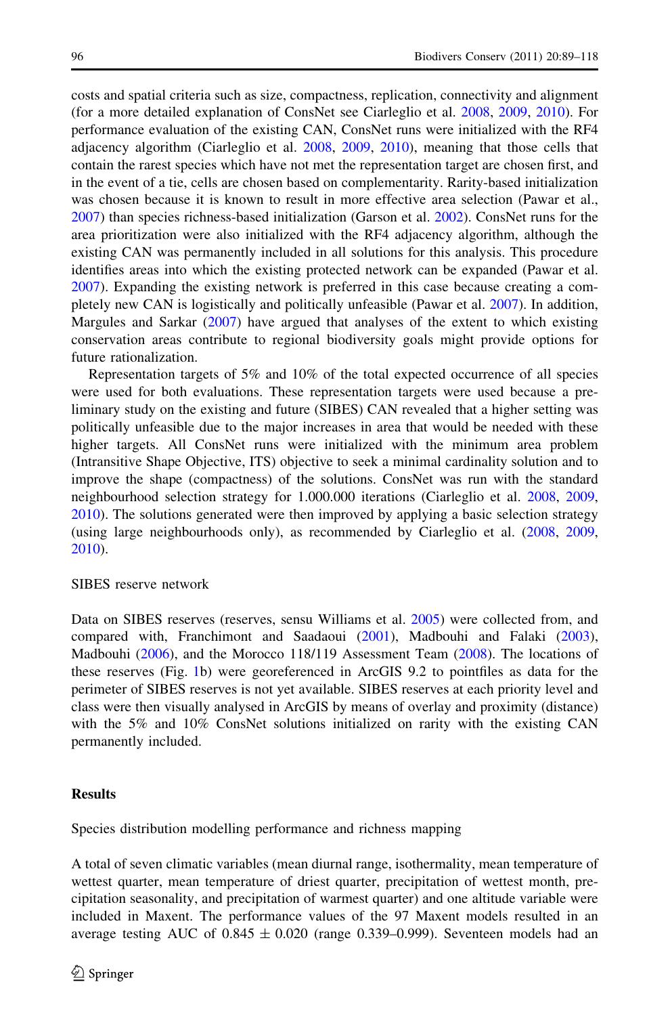costs and spatial criteria such as size, compactness, replication, connectivity and alignment (for a more detailed explanation of ConsNet see Ciarleglio et al. [2008,](#page-25-0) [2009](#page-25-0), [2010\)](#page-25-0). For performance evaluation of the existing CAN, ConsNet runs were initialized with the RF4 adjacency algorithm (Ciarleglio et al. [2008,](#page-25-0) [2009](#page-25-0), [2010](#page-25-0)), meaning that those cells that contain the rarest species which have not met the representation target are chosen first, and in the event of a tie, cells are chosen based on complementarity. Rarity-based initialization was chosen because it is known to result in more effective area selection (Pawar et al., [2007\)](#page-28-0) than species richness-based initialization (Garson et al. [2002](#page-26-0)). ConsNet runs for the area prioritization were also initialized with the RF4 adjacency algorithm, although the existing CAN was permanently included in all solutions for this analysis. This procedure identifies areas into which the existing protected network can be expanded (Pawar et al. [2007\)](#page-28-0). Expanding the existing network is preferred in this case because creating a completely new CAN is logistically and politically unfeasible (Pawar et al. [2007](#page-28-0)). In addition, Margules and Sarkar [\(2007](#page-27-0)) have argued that analyses of the extent to which existing conservation areas contribute to regional biodiversity goals might provide options for future rationalization.

Representation targets of 5% and 10% of the total expected occurrence of all species were used for both evaluations. These representation targets were used because a preliminary study on the existing and future (SIBES) CAN revealed that a higher setting was politically unfeasible due to the major increases in area that would be needed with these higher targets. All ConsNet runs were initialized with the minimum area problem (Intransitive Shape Objective, ITS) objective to seek a minimal cardinality solution and to improve the shape (compactness) of the solutions. ConsNet was run with the standard neighbourhood selection strategy for 1.000.000 iterations (Ciarleglio et al. [2008,](#page-25-0) [2009](#page-25-0), [2010\)](#page-25-0). The solutions generated were then improved by applying a basic selection strategy (using large neighbourhoods only), as recommended by Ciarleglio et al. ([2008,](#page-25-0) [2009](#page-25-0), [2010\)](#page-25-0).

## SIBES reserve network

Data on SIBES reserves (reserves, sensu Williams et al. [2005\)](#page-29-0) were collected from, and compared with, Franchimont and Saadaoui [\(2001](#page-26-0)), Madbouhi and Falaki [\(2003](#page-27-0)), Madbouhi [\(2006](#page-27-0)), and the Morocco 118/119 Assessment Team ([2008\)](#page-27-0). The locations of these reserves (Fig. [1](#page-4-0)b) were georeferenced in ArcGIS 9.2 to pointfiles as data for the perimeter of SIBES reserves is not yet available. SIBES reserves at each priority level and class were then visually analysed in ArcGIS by means of overlay and proximity (distance) with the 5% and 10% ConsNet solutions initialized on rarity with the existing CAN permanently included.

## **Results**

Species distribution modelling performance and richness mapping

A total of seven climatic variables (mean diurnal range, isothermality, mean temperature of wettest quarter, mean temperature of driest quarter, precipitation of wettest month, precipitation seasonality, and precipitation of warmest quarter) and one altitude variable were included in Maxent. The performance values of the 97 Maxent models resulted in an average testing AUC of  $0.845 \pm 0.020$  (range 0.339–0.999). Seventeen models had an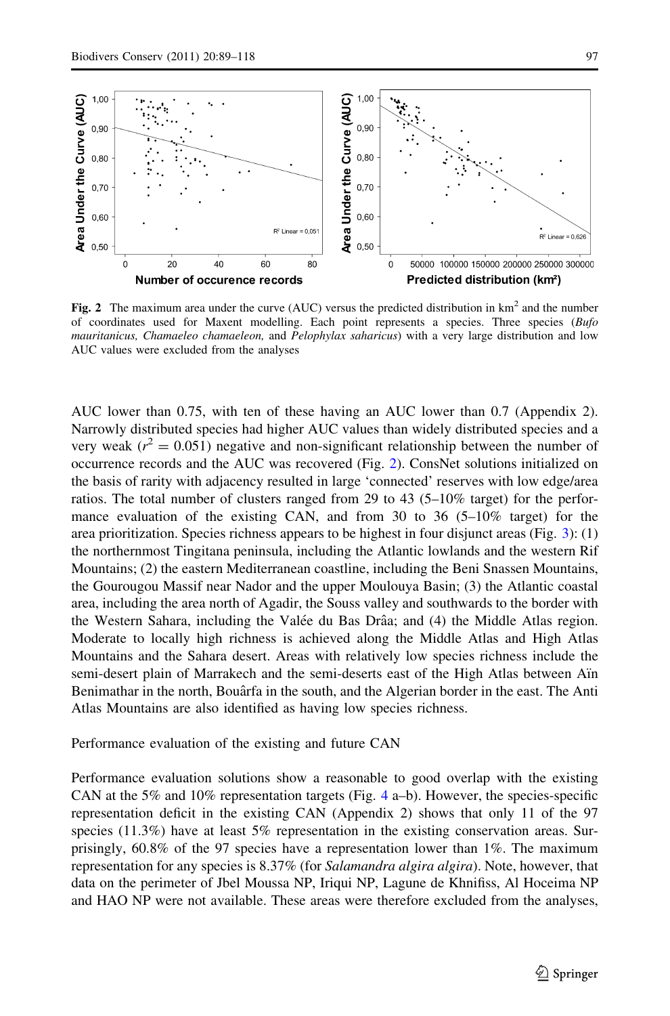<span id="page-8-0"></span>

Fig. 2 The maximum area under the curve (AUC) versus the predicted distribution in  $km^2$  and the number of coordinates used for Maxent modelling. Each point represents a species. Three species (Bufo mauritanicus, Chamaeleo chamaeleon, and Pelophylax saharicus) with a very large distribution and low AUC values were excluded from the analyses

AUC lower than 0.75, with ten of these having an AUC lower than 0.7 (Appendix 2). Narrowly distributed species had higher AUC values than widely distributed species and a very weak ( $r^2 = 0.051$ ) negative and non-significant relationship between the number of occurrence records and the AUC was recovered (Fig. 2). ConsNet solutions initialized on the basis of rarity with adjacency resulted in large 'connected' reserves with low edge/area ratios. The total number of clusters ranged from 29 to 43 (5–10% target) for the performance evaluation of the existing CAN, and from 30 to 36  $(5-10\%$  target) for the area prioritization. Species richness appears to be highest in four disjunct areas (Fig. [3](#page-9-0)): (1) the northernmost Tingitana peninsula, including the Atlantic lowlands and the western Rif Mountains; (2) the eastern Mediterranean coastline, including the Beni Snassen Mountains, the Gourougou Massif near Nador and the upper Moulouya Basin; (3) the Atlantic coastal area, including the area north of Agadir, the Souss valley and southwards to the border with the Western Sahara, including the Valée du Bas Drâa; and (4) the Middle Atlas region. Moderate to locally high richness is achieved along the Middle Atlas and High Atlas Mountains and the Sahara desert. Areas with relatively low species richness include the semi-desert plain of Marrakech and the semi-deserts east of the High Atlas between Aïn Benimathar in the north, Bouârfa in the south, and the Algerian border in the east. The Anti Atlas Mountains are also identified as having low species richness.

#### Performance evaluation of the existing and future CAN

Performance evaluation solutions show a reasonable to good overlap with the existing CAN at the 5% and 10% representation targets (Fig. [4](#page-10-0) a–b). However, the species-specific representation deficit in the existing CAN (Appendix 2) shows that only 11 of the 97 species (11.3%) have at least 5% representation in the existing conservation areas. Surprisingly, 60.8% of the 97 species have a representation lower than 1%. The maximum representation for any species is 8.37% (for Salamandra algira algira). Note, however, that data on the perimeter of Jbel Moussa NP, Iriqui NP, Lagune de Khnifiss, Al Hoceima NP and HAO NP were not available. These areas were therefore excluded from the analyses,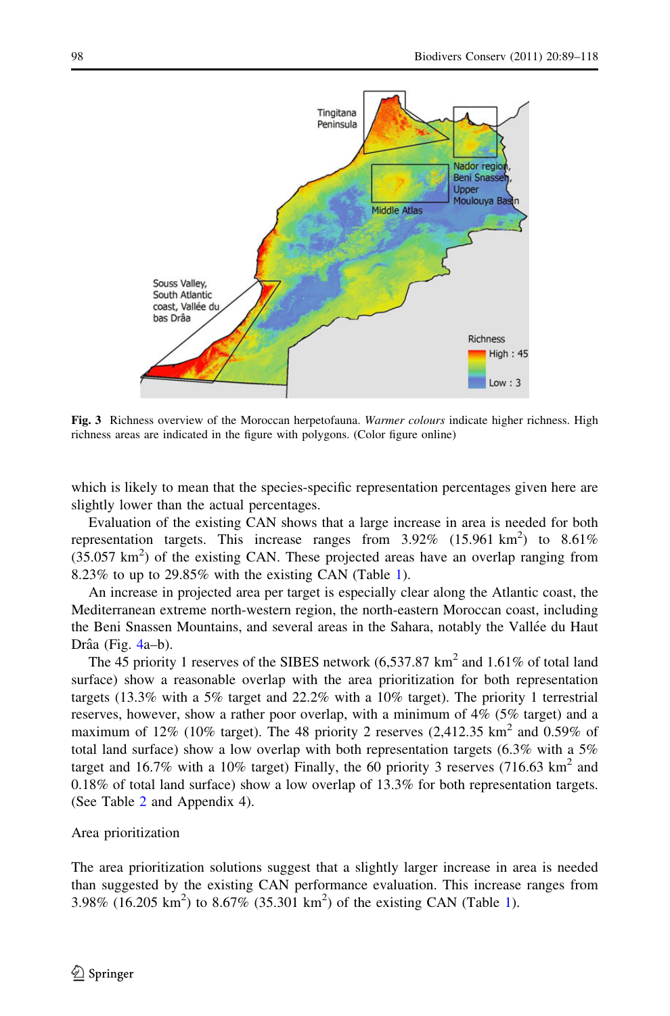<span id="page-9-0"></span>

Fig. 3 Richness overview of the Moroccan herpetofauna. Warmer colours indicate higher richness. High richness areas are indicated in the figure with polygons. (Color figure online)

which is likely to mean that the species-specific representation percentages given here are slightly lower than the actual percentages.

Evaluation of the existing CAN shows that a large increase in area is needed for both representation targets. This increase ranges from  $3.92\%$  (15.961 km<sup>2</sup>) to  $8.61\%$  $(35.057 \text{ km}^2)$  of the existing CAN. These projected areas have an overlap ranging from 8.23% to up to 29.85% with the existing CAN (Table [1](#page-10-0)).

An increase in projected area per target is especially clear along the Atlantic coast, the Mediterranean extreme north-western region, the north-eastern Moroccan coast, including the Beni Snassen Mountains, and several areas in the Sahara, notably the Vallée du Haut Drâa (Fig.  $4a-b$  $4a-b$ ).

The 45 priority 1 reserves of the SIBES network  $(6,537.87 \text{ km}^2 \text{ and } 1.61\% \text{ of total land})$ surface) show a reasonable overlap with the area prioritization for both representation targets (13.3% with a 5% target and 22.2% with a 10% target). The priority 1 terrestrial reserves, however, show a rather poor overlap, with a minimum of 4% (5% target) and a maximum of 12% (10% target). The 48 priority 2 reserves (2,412.35  $km^2$  and 0.59% of total land surface) show a low overlap with both representation targets (6.3% with a 5% target and 16.7% with a 10% target) Finally, the 60 priority 3 reserves (716.63 km<sup>2</sup> and 0.18% of total land surface) show a low overlap of 13.3% for both representation targets. (See Table [2](#page-11-0) and Appendix 4).

#### Area prioritization

The area prioritization solutions suggest that a slightly larger increase in area is needed than suggested by the existing CAN performance evaluation. This increase ranges from 3.98% (16.205 km<sup>2</sup>) to 8.67% (35.301 km<sup>2</sup>) of the existing CAN (Table [1\)](#page-10-0).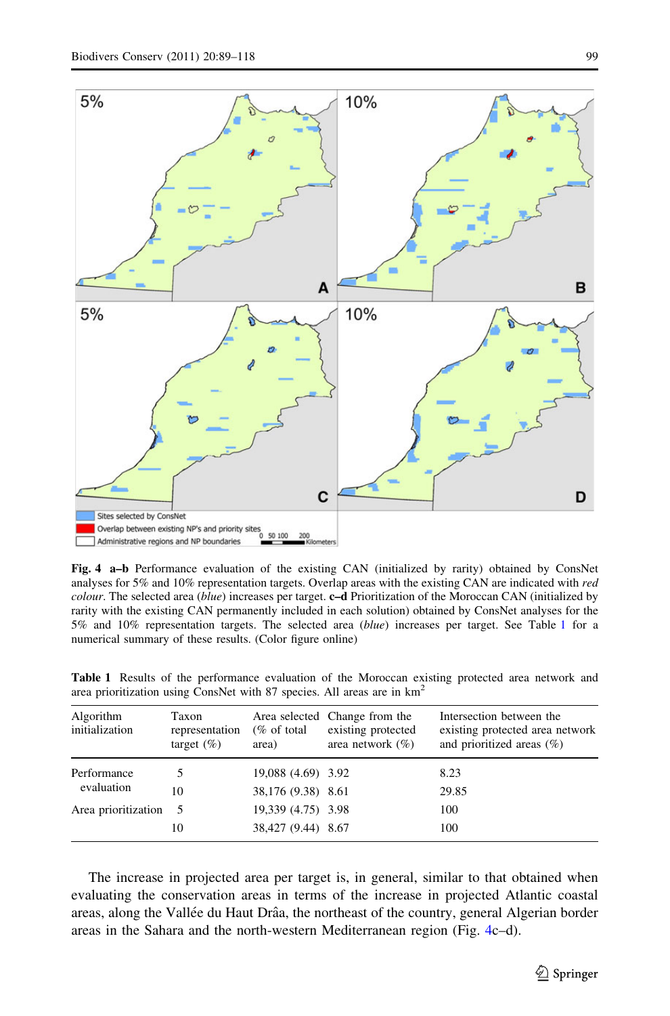<span id="page-10-0"></span>

Fig. 4 a–b Performance evaluation of the existing CAN (initialized by rarity) obtained by ConsNet analyses for 5% and 10% representation targets. Overlap areas with the existing CAN are indicated with red colour. The selected area (blue) increases per target. c–d Prioritization of the Moroccan CAN (initialized by rarity with the existing CAN permanently included in each solution) obtained by ConsNet analyses for the 5% and 10% representation targets. The selected area (blue) increases per target. See Table 1 for a numerical summary of these results. (Color figure online)

| Algorithm<br>initialization | Taxon<br>representation<br>target $(\% )$ | $(\%$ of total<br>area) | Area selected Change from the<br>existing protected<br>area network $(\% )$ | Intersection between the<br>existing protected area network<br>and prioritized areas $(\%)$ |
|-----------------------------|-------------------------------------------|-------------------------|-----------------------------------------------------------------------------|---------------------------------------------------------------------------------------------|
| Performance                 |                                           | 19,088 (4.69) 3.92      |                                                                             | 8.23                                                                                        |
| evaluation                  | 10                                        | 38,176 (9.38) 8.61      |                                                                             | 29.85                                                                                       |
| Area prioritization 5       |                                           | 19,339 (4.75) 3.98      |                                                                             | 100                                                                                         |
|                             | 10                                        | 38,427 (9.44) 8.67      |                                                                             | 100                                                                                         |

Table 1 Results of the performance evaluation of the Moroccan existing protected area network and area prioritization using ConsNet with 87 species. All areas are in km2

The increase in projected area per target is, in general, similar to that obtained when evaluating the conservation areas in terms of the increase in projected Atlantic coastal areas, along the Vallée du Haut Drâa, the northeast of the country, general Algerian border areas in the Sahara and the north-western Mediterranean region (Fig. 4c–d).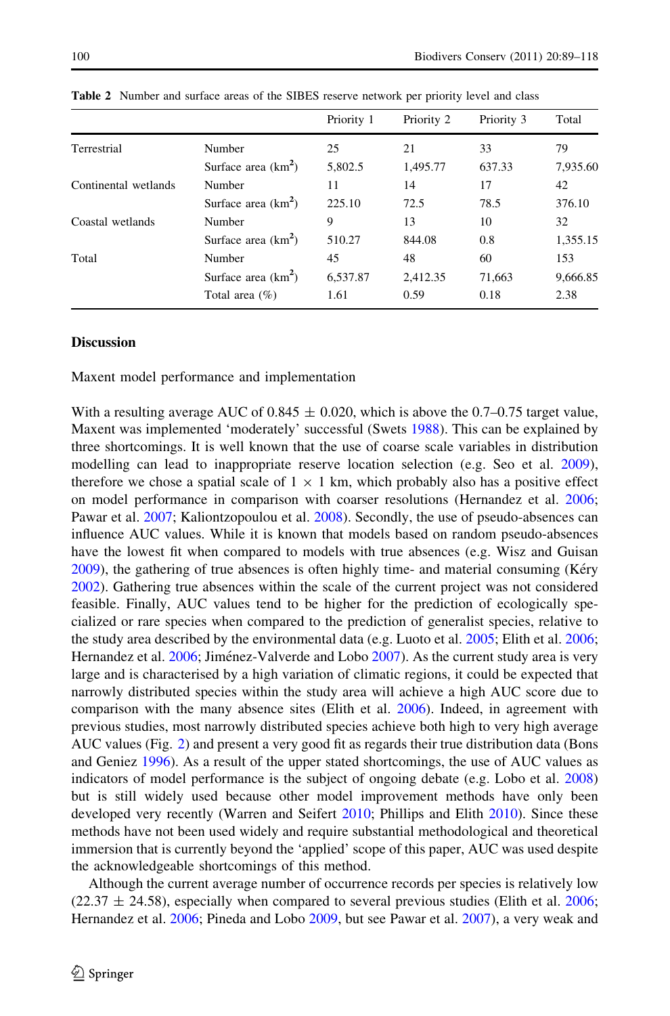<span id="page-11-0"></span>

|                      |                       | Priority 1 | Priority 2 | Priority 3 | Total    |
|----------------------|-----------------------|------------|------------|------------|----------|
| Terrestrial          | Number                | 25         | 21         | 33         | 79       |
|                      | Surface area $(km2)$  | 5.802.5    | 1,495.77   | 637.33     | 7,935.60 |
| Continental wetlands | Number                | 11         | 14         | 17         | 42       |
|                      | Surface area $(km^2)$ | 225.10     | 72.5       | 78.5       | 376.10   |
| Coastal wetlands     | Number                | 9          | 13         | 10         | 32       |
|                      | Surface area $(km2)$  | 510.27     | 844.08     | 0.8        | 1,355.15 |
| Total                | Number                | 45         | 48         | 60         | 153      |
|                      | Surface area $(km2)$  | 6.537.87   | 2.412.35   | 71,663     | 9,666.85 |
|                      | Total area $(\%)$     | 1.61       | 0.59       | 0.18       | 2.38     |

Table 2 Number and surface areas of the SIBES reserve network per priority level and class

## **Discussion**

Maxent model performance and implementation

With a resulting average AUC of  $0.845 \pm 0.020$ , which is above the 0.7–0.75 target value, Maxent was implemented 'moderately' successful (Swets [1988\)](#page-28-0). This can be explained by three shortcomings. It is well known that the use of coarse scale variables in distribution modelling can lead to inappropriate reserve location selection (e.g. Seo et al. [2009](#page-28-0)), therefore we chose a spatial scale of  $1 \times 1$  km, which probably also has a positive effect on model performance in comparison with coarser resolutions (Hernandez et al. [2006;](#page-26-0) Pawar et al. [2007](#page-28-0); Kaliontzopoulou et al. [2008](#page-27-0)). Secondly, the use of pseudo-absences can influence AUC values. While it is known that models based on random pseudo-absences have the lowest fit when compared to models with true absences (e.g. Wisz and Guisan [2009\)](#page-29-0), the gathering of true absences is often highly time- and material consuming (Kéry [2002\)](#page-27-0). Gathering true absences within the scale of the current project was not considered feasible. Finally, AUC values tend to be higher for the prediction of ecologically specialized or rare species when compared to the prediction of generalist species, relative to the study area described by the environmental data (e.g. Luoto et al. [2005;](#page-27-0) Elith et al. [2006;](#page-26-0) Hernandez et al. [2006;](#page-26-0) Jiménez-Valverde and Lobo [2007\)](#page-27-0). As the current study area is very large and is characterised by a high variation of climatic regions, it could be expected that narrowly distributed species within the study area will achieve a high AUC score due to comparison with the many absence sites (Elith et al. [2006](#page-26-0)). Indeed, in agreement with previous studies, most narrowly distributed species achieve both high to very high average AUC values (Fig. [2](#page-8-0)) and present a very good fit as regards their true distribution data (Bons and Geniez [1996\)](#page-25-0). As a result of the upper stated shortcomings, the use of AUC values as indicators of model performance is the subject of ongoing debate (e.g. Lobo et al. [2008](#page-27-0)) but is still widely used because other model improvement methods have only been developed very recently (Warren and Seifert [2010](#page-29-0); Phillips and Elith [2010\)](#page-28-0). Since these methods have not been used widely and require substantial methodological and theoretical immersion that is currently beyond the 'applied' scope of this paper, AUC was used despite the acknowledgeable shortcomings of this method.

Although the current average number of occurrence records per species is relatively low  $(22.37 \pm 24.58)$ , especially when compared to several previous studies (Elith et al. [2006;](#page-26-0) Hernandez et al. [2006;](#page-26-0) Pineda and Lobo [2009,](#page-28-0) but see Pawar et al. [2007](#page-28-0)), a very weak and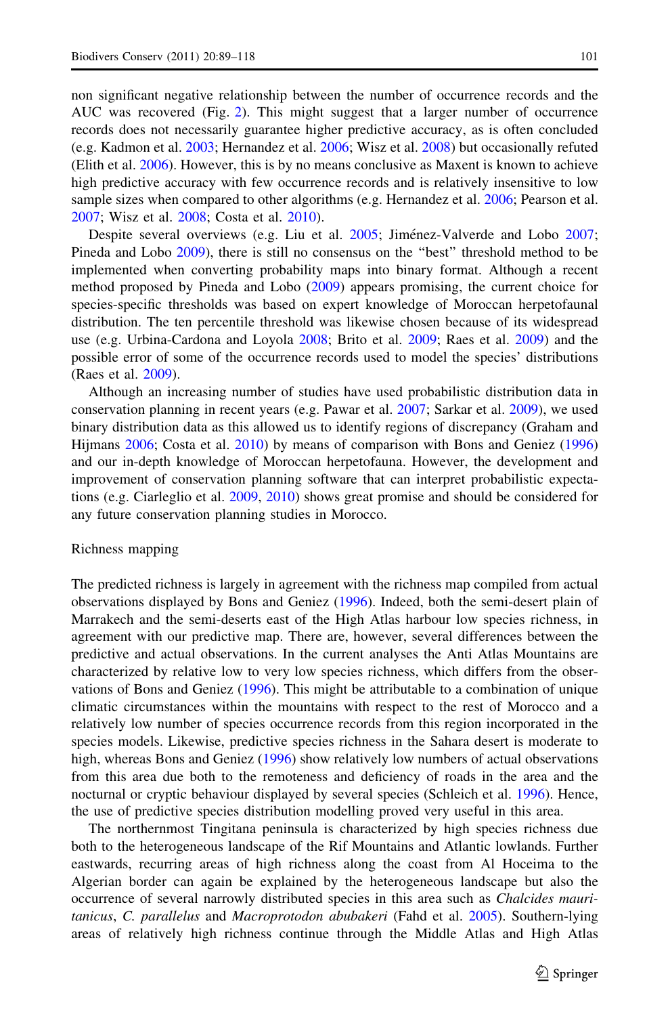non significant negative relationship between the number of occurrence records and the AUC was recovered (Fig. [2\)](#page-8-0). This might suggest that a larger number of occurrence records does not necessarily guarantee higher predictive accuracy, as is often concluded (e.g. Kadmon et al. [2003;](#page-27-0) Hernandez et al. [2006](#page-26-0); Wisz et al. [2008\)](#page-29-0) but occasionally refuted (Elith et al. [2006\)](#page-26-0). However, this is by no means conclusive as Maxent is known to achieve high predictive accuracy with few occurrence records and is relatively insensitive to low sample sizes when compared to other algorithms (e.g. Hernandez et al. [2006;](#page-26-0) Pearson et al. [2007;](#page-28-0) Wisz et al. [2008;](#page-29-0) Costa et al. [2010](#page-25-0)).

Despite several overviews (e.g. Liu et al. [2005](#page-27-0); Jiménez-Valverde and Lobo [2007;](#page-27-0) Pineda and Lobo [2009\)](#page-28-0), there is still no consensus on the ''best'' threshold method to be implemented when converting probability maps into binary format. Although a recent method proposed by Pineda and Lobo [\(2009](#page-28-0)) appears promising, the current choice for species-specific thresholds was based on expert knowledge of Moroccan herpetofaunal distribution. The ten percentile threshold was likewise chosen because of its widespread use (e.g. Urbina-Cardona and Loyola [2008](#page-29-0); Brito et al. [2009;](#page-25-0) Raes et al. [2009](#page-28-0)) and the possible error of some of the occurrence records used to model the species' distributions (Raes et al. [2009\)](#page-28-0).

Although an increasing number of studies have used probabilistic distribution data in conservation planning in recent years (e.g. Pawar et al. [2007;](#page-28-0) Sarkar et al. [2009](#page-28-0)), we used binary distribution data as this allowed us to identify regions of discrepancy (Graham and Hijmans [2006;](#page-26-0) Costa et al. [2010\)](#page-25-0) by means of comparison with Bons and Geniez ([1996](#page-25-0)) and our in-depth knowledge of Moroccan herpetofauna. However, the development and improvement of conservation planning software that can interpret probabilistic expectations (e.g. Ciarleglio et al. [2009](#page-25-0), [2010\)](#page-25-0) shows great promise and should be considered for any future conservation planning studies in Morocco.

#### Richness mapping

The predicted richness is largely in agreement with the richness map compiled from actual observations displayed by Bons and Geniez [\(1996](#page-25-0)). Indeed, both the semi-desert plain of Marrakech and the semi-deserts east of the High Atlas harbour low species richness, in agreement with our predictive map. There are, however, several differences between the predictive and actual observations. In the current analyses the Anti Atlas Mountains are characterized by relative low to very low species richness, which differs from the observations of Bons and Geniez [\(1996\)](#page-25-0). This might be attributable to a combination of unique climatic circumstances within the mountains with respect to the rest of Morocco and a relatively low number of species occurrence records from this region incorporated in the species models. Likewise, predictive species richness in the Sahara desert is moderate to high, whereas Bons and Geniez [\(1996](#page-25-0)) show relatively low numbers of actual observations from this area due both to the remoteness and deficiency of roads in the area and the nocturnal or cryptic behaviour displayed by several species (Schleich et al. [1996\)](#page-28-0). Hence, the use of predictive species distribution modelling proved very useful in this area.

The northernmost Tingitana peninsula is characterized by high species richness due both to the heterogeneous landscape of the Rif Mountains and Atlantic lowlands. Further eastwards, recurring areas of high richness along the coast from Al Hoceima to the Algerian border can again be explained by the heterogeneous landscape but also the occurrence of several narrowly distributed species in this area such as Chalcides mauritanicus, C. parallelus and Macroprotodon abubakeri (Fahd et al. [2005](#page-26-0)). Southern-lying areas of relatively high richness continue through the Middle Atlas and High Atlas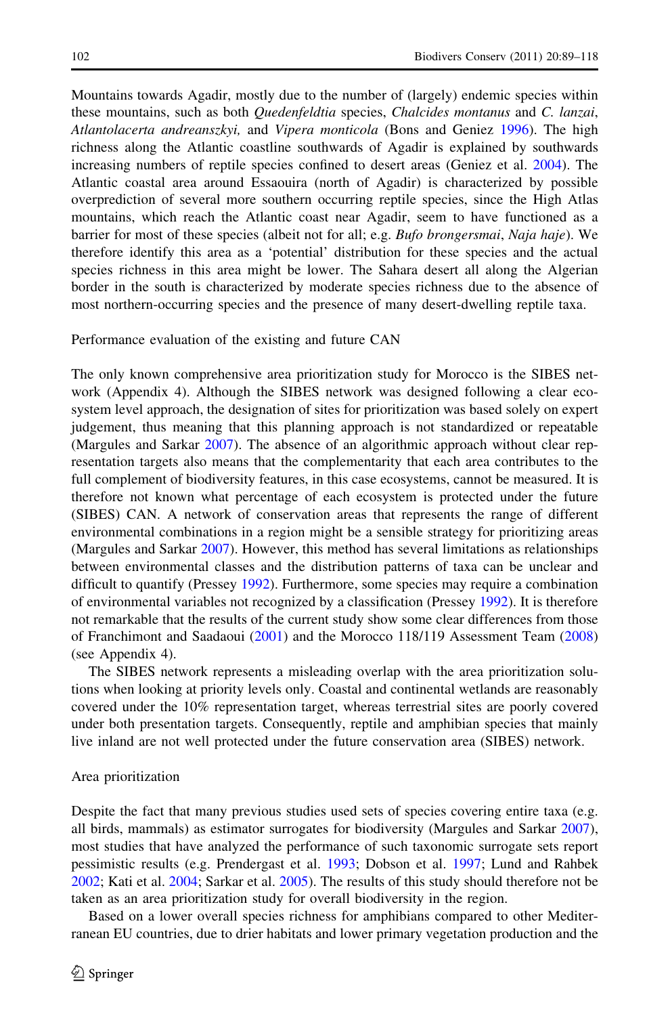Mountains towards Agadir, mostly due to the number of (largely) endemic species within these mountains, such as both *Quedenfeldtia* species, *Chalcides montanus* and *C. lanzai*, Atlantolacerta andreanszkyi, and Vipera monticola (Bons and Geniez [1996](#page-25-0)). The high richness along the Atlantic coastline southwards of Agadir is explained by southwards increasing numbers of reptile species confined to desert areas (Geniez et al. [2004\)](#page-26-0). The Atlantic coastal area around Essaouira (north of Agadir) is characterized by possible overprediction of several more southern occurring reptile species, since the High Atlas mountains, which reach the Atlantic coast near Agadir, seem to have functioned as a barrier for most of these species (albeit not for all; e.g. Bufo brongersmai, Naja haje). We therefore identify this area as a 'potential' distribution for these species and the actual species richness in this area might be lower. The Sahara desert all along the Algerian border in the south is characterized by moderate species richness due to the absence of most northern-occurring species and the presence of many desert-dwelling reptile taxa.

#### Performance evaluation of the existing and future CAN

The only known comprehensive area prioritization study for Morocco is the SIBES network (Appendix 4). Although the SIBES network was designed following a clear ecosystem level approach, the designation of sites for prioritization was based solely on expert judgement, thus meaning that this planning approach is not standardized or repeatable (Margules and Sarkar [2007](#page-27-0)). The absence of an algorithmic approach without clear representation targets also means that the complementarity that each area contributes to the full complement of biodiversity features, in this case ecosystems, cannot be measured. It is therefore not known what percentage of each ecosystem is protected under the future (SIBES) CAN. A network of conservation areas that represents the range of different environmental combinations in a region might be a sensible strategy for prioritizing areas (Margules and Sarkar [2007\)](#page-27-0). However, this method has several limitations as relationships between environmental classes and the distribution patterns of taxa can be unclear and difficult to quantify (Pressey [1992](#page-28-0)). Furthermore, some species may require a combination of environmental variables not recognized by a classification (Pressey [1992](#page-28-0)). It is therefore not remarkable that the results of the current study show some clear differences from those of Franchimont and Saadaoui ([2001\)](#page-26-0) and the Morocco 118/119 Assessment Team ([2008](#page-27-0)) (see Appendix 4).

The SIBES network represents a misleading overlap with the area prioritization solutions when looking at priority levels only. Coastal and continental wetlands are reasonably covered under the 10% representation target, whereas terrestrial sites are poorly covered under both presentation targets. Consequently, reptile and amphibian species that mainly live inland are not well protected under the future conservation area (SIBES) network.

#### Area prioritization

Despite the fact that many previous studies used sets of species covering entire taxa (e.g. all birds, mammals) as estimator surrogates for biodiversity (Margules and Sarkar [2007](#page-27-0)), most studies that have analyzed the performance of such taxonomic surrogate sets report pessimistic results (e.g. Prendergast et al. [1993](#page-28-0); Dobson et al. [1997;](#page-26-0) Lund and Rahbek [2002;](#page-27-0) Kati et al. [2004;](#page-27-0) Sarkar et al. [2005](#page-28-0)). The results of this study should therefore not be taken as an area prioritization study for overall biodiversity in the region.

Based on a lower overall species richness for amphibians compared to other Mediterranean EU countries, due to drier habitats and lower primary vegetation production and the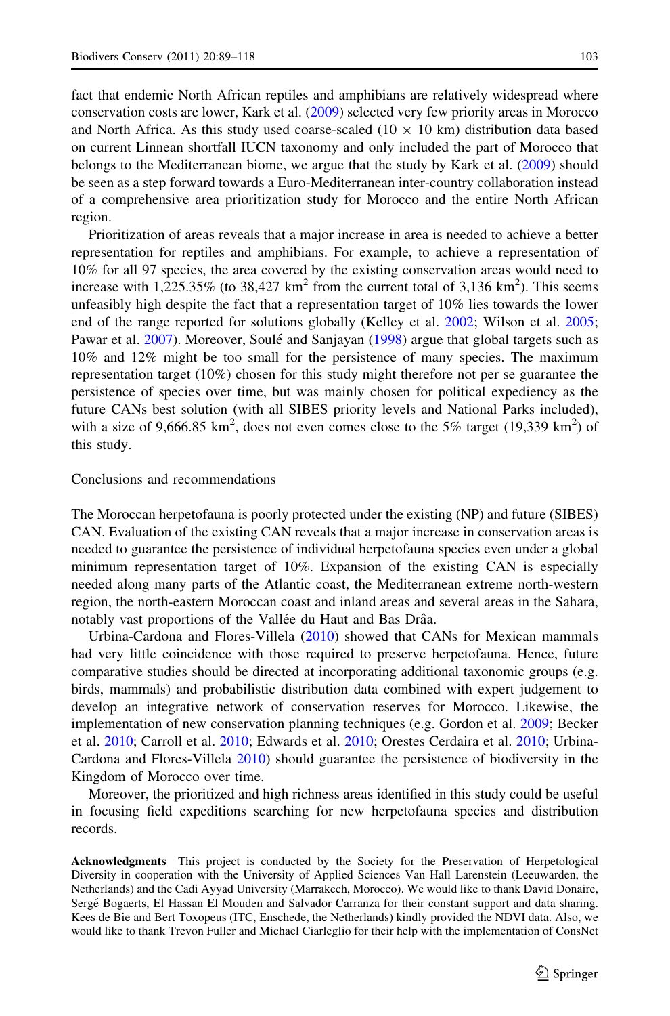fact that endemic North African reptiles and amphibians are relatively widespread where conservation costs are lower, Kark et al. ([2009\)](#page-27-0) selected very few priority areas in Morocco and North Africa. As this study used coarse-scaled ( $10 \times 10$  km) distribution data based on current Linnean shortfall IUCN taxonomy and only included the part of Morocco that belongs to the Mediterranean biome, we argue that the study by Kark et al. [\(2009](#page-27-0)) should be seen as a step forward towards a Euro-Mediterranean inter-country collaboration instead of a comprehensive area prioritization study for Morocco and the entire North African region.

Prioritization of areas reveals that a major increase in area is needed to achieve a better representation for reptiles and amphibians. For example, to achieve a representation of 10% for all 97 species, the area covered by the existing conservation areas would need to increase with 1,225.35% (to 38,427 km<sup>2</sup> from the current total of 3,136 km<sup>2</sup>). This seems unfeasibly high despite the fact that a representation target of 10% lies towards the lower end of the range reported for solutions globally (Kelley et al. [2002;](#page-27-0) Wilson et al. [2005;](#page-29-0) Pawar et al. [2007](#page-28-0)). Moreover, Soulé and Sanjayan [\(1998\)](#page-28-0) argue that global targets such as 10% and 12% might be too small for the persistence of many species. The maximum representation target (10%) chosen for this study might therefore not per se guarantee the persistence of species over time, but was mainly chosen for political expediency as the future CANs best solution (with all SIBES priority levels and National Parks included), with a size of 9,666.85  $km^2$ , does not even comes close to the 5% target (19,339  $km^2$ ) of this study.

#### Conclusions and recommendations

The Moroccan herpetofauna is poorly protected under the existing (NP) and future (SIBES) CAN. Evaluation of the existing CAN reveals that a major increase in conservation areas is needed to guarantee the persistence of individual herpetofauna species even under a global minimum representation target of 10%. Expansion of the existing CAN is especially needed along many parts of the Atlantic coast, the Mediterranean extreme north-western region, the north-eastern Moroccan coast and inland areas and several areas in the Sahara, notably vast proportions of the Vallée du Haut and Bas Drâa.

Urbina-Cardona and Flores-Villela [\(2010](#page-29-0)) showed that CANs for Mexican mammals had very little coincidence with those required to preserve herpetofauna. Hence, future comparative studies should be directed at incorporating additional taxonomic groups (e.g. birds, mammals) and probabilistic distribution data combined with expert judgement to develop an integrative network of conservation reserves for Morocco. Likewise, the implementation of new conservation planning techniques (e.g. Gordon et al. [2009](#page-26-0); Becker et al. [2010](#page-25-0); Carroll et al. [2010](#page-25-0); Edwards et al. [2010](#page-26-0); Orestes Cerdaira et al. [2010;](#page-27-0) Urbina-Cardona and Flores-Villela [2010](#page-29-0)) should guarantee the persistence of biodiversity in the Kingdom of Morocco over time.

Moreover, the prioritized and high richness areas identified in this study could be useful in focusing field expeditions searching for new herpetofauna species and distribution records.

Acknowledgments This project is conducted by the Society for the Preservation of Herpetological Diversity in cooperation with the University of Applied Sciences Van Hall Larenstein (Leeuwarden, the Netherlands) and the Cadi Ayyad University (Marrakech, Morocco). We would like to thank David Donaire, Sergé Bogaerts, El Hassan El Mouden and Salvador Carranza for their constant support and data sharing. Kees de Bie and Bert Toxopeus (ITC, Enschede, the Netherlands) kindly provided the NDVI data. Also, we would like to thank Trevon Fuller and Michael Ciarleglio for their help with the implementation of ConsNet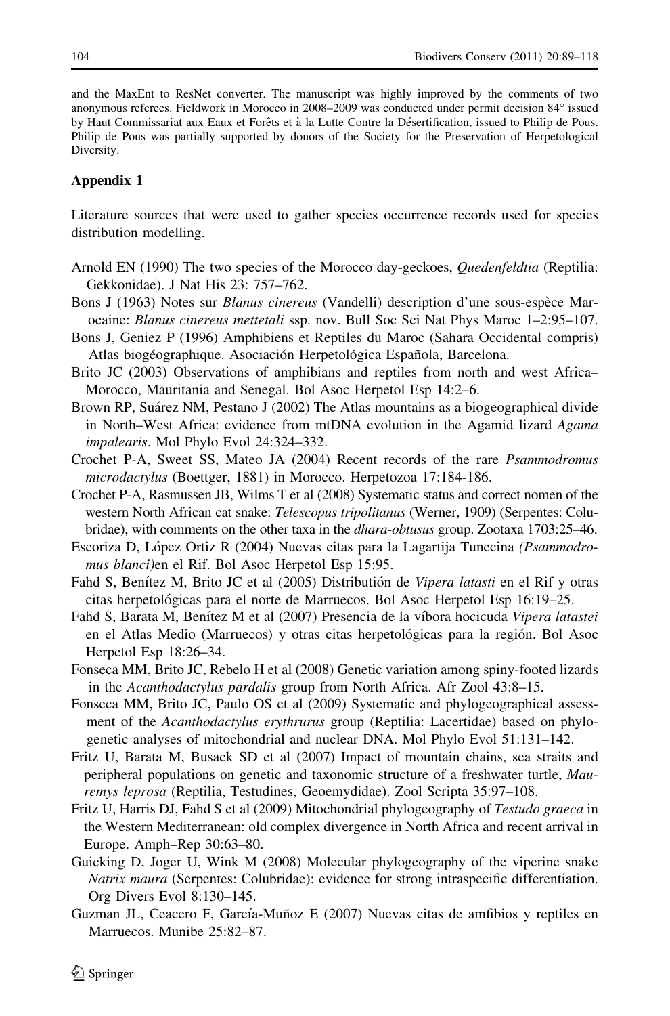and the MaxEnt to ResNet converter. The manuscript was highly improved by the comments of two anonymous referees. Fieldwork in Morocco in 2008–2009 was conducted under permit decision 84° issued by Haut Commissariat aux Eaux et Forêts et à la Lutte Contre la Désertification, issued to Philip de Pous. Philip de Pous was partially supported by donors of the Society for the Preservation of Herpetological Diversity.

## Appendix 1

Literature sources that were used to gather species occurrence records used for species distribution modelling.

- Arnold EN (1990) The two species of the Morocco day-geckoes, *Quedenfeldtia* (Reptilia: Gekkonidae). J Nat His 23: 757–762.
- Bons J (1963) Notes sur *Blanus cinereus* (Vandelli) description d'une sous-espèce Marocaine: Blanus cinereus mettetali ssp. nov. Bull Soc Sci Nat Phys Maroc 1–2:95–107.
- Bons J, Geniez P (1996) Amphibiens et Reptiles du Maroc (Sahara Occidental compris) Atlas biogéographique. Asociación Herpetológica Española, Barcelona.
- Brito JC (2003) Observations of amphibians and reptiles from north and west Africa– Morocco, Mauritania and Senegal. Bol Asoc Herpetol Esp 14:2–6.
- Brown RP, Suárez NM, Pestano J (2002) The Atlas mountains as a biogeographical divide in North–West Africa: evidence from mtDNA evolution in the Agamid lizard Agama impalearis. Mol Phylo Evol 24:324–332.
- Crochet P-A, Sweet SS, Mateo JA (2004) Recent records of the rare Psammodromus microdactylus (Boettger, 1881) in Morocco. Herpetozoa 17:184-186.
- Crochet P-A, Rasmussen JB, Wilms T et al (2008) Systematic status and correct nomen of the western North African cat snake: Telescopus tripolitanus (Werner, 1909) (Serpentes: Colubridae), with comments on the other taxa in the dhara-obtusus group. Zootaxa 1703:25–46.
- Escoriza D, López Ortiz R (2004) Nuevas citas para la Lagartija Tunecina (Psammodromus blanci)en el Rif. Bol Asoc Herpetol Esp 15:95.
- Fahd S, Benítez M, Brito JC et al (2005) Distributión de Vipera latasti en el Rif y otras citas herpetológicas para el norte de Marruecos. Bol Asoc Herpetol Esp 16:19–25.
- Fahd S, Barata M, Benítez M et al (2007) Presencia de la víbora hocicuda Vipera latastei en el Atlas Medio (Marruecos) y otras citas herpetológicas para la región. Bol Asoc Herpetol Esp 18:26–34.
- Fonseca MM, Brito JC, Rebelo H et al (2008) Genetic variation among spiny-footed lizards in the Acanthodactylus pardalis group from North Africa. Afr Zool 43:8–15.
- Fonseca MM, Brito JC, Paulo OS et al (2009) Systematic and phylogeographical assessment of the Acanthodactylus erythrurus group (Reptilia: Lacertidae) based on phylogenetic analyses of mitochondrial and nuclear DNA. Mol Phylo Evol 51:131–142.
- Fritz U, Barata M, Busack SD et al (2007) Impact of mountain chains, sea straits and peripheral populations on genetic and taxonomic structure of a freshwater turtle, Mauremys leprosa (Reptilia, Testudines, Geoemydidae). Zool Scripta 35:97–108.
- Fritz U, Harris DJ, Fahd S et al (2009) Mitochondrial phylogeography of Testudo graeca in the Western Mediterranean: old complex divergence in North Africa and recent arrival in Europe. Amph–Rep 30:63–80.
- Guicking D, Joger U, Wink M (2008) Molecular phylogeography of the viperine snake Natrix maura (Serpentes: Colubridae): evidence for strong intraspecific differentiation. Org Divers Evol 8:130–145.
- Guzman JL, Ceacero F, García-Muñoz E (2007) Nuevas citas de amfibios y reptiles en Marruecos. Munibe 25:82–87.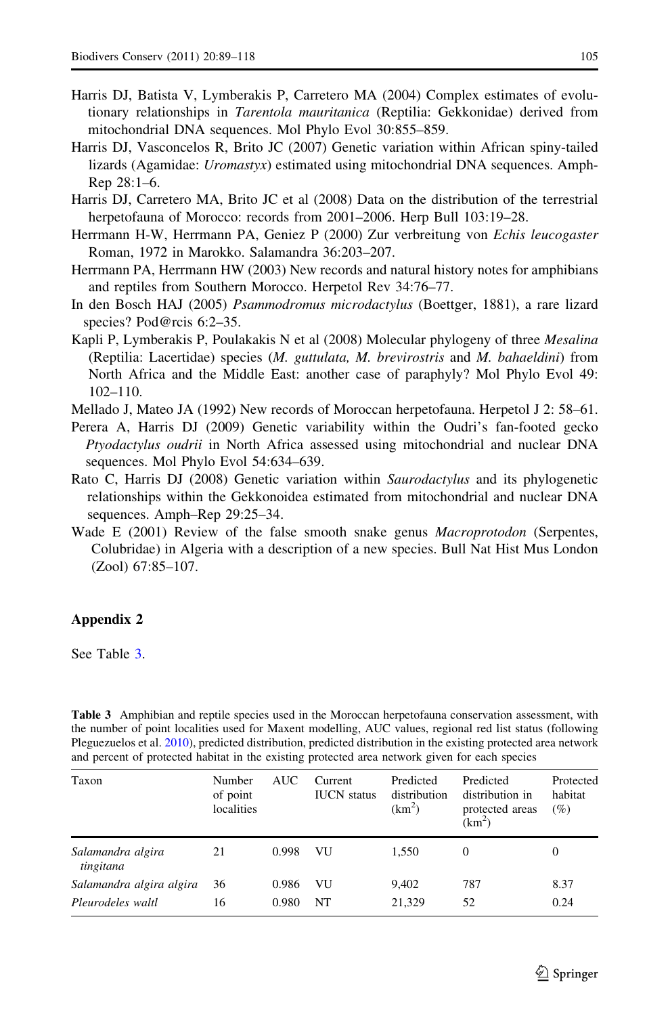- <span id="page-16-0"></span>Harris DJ, Batista V, Lymberakis P, Carretero MA (2004) Complex estimates of evolutionary relationships in Tarentola mauritanica (Reptilia: Gekkonidae) derived from mitochondrial DNA sequences. Mol Phylo Evol 30:855–859.
- Harris DJ, Vasconcelos R, Brito JC (2007) Genetic variation within African spiny-tailed lizards (Agamidae: Uromastyx) estimated using mitochondrial DNA sequences. Amph-Rep 28:1–6.
- Harris DJ, Carretero MA, Brito JC et al (2008) Data on the distribution of the terrestrial herpetofauna of Morocco: records from 2001–2006. Herp Bull 103:19–28.
- Herrmann H-W, Herrmann PA, Geniez P (2000) Zur verbreitung von Echis leucogaster Roman, 1972 in Marokko. Salamandra 36:203–207.
- Herrmann PA, Herrmann HW (2003) New records and natural history notes for amphibians and reptiles from Southern Morocco. Herpetol Rev 34:76–77.
- In den Bosch HAJ (2005) Psammodromus microdactylus (Boettger, 1881), a rare lizard species? Pod@rcis 6:2-35.
- Kapli P, Lymberakis P, Poulakakis N et al (2008) Molecular phylogeny of three *Mesalina* (Reptilia: Lacertidae) species (M. guttulata, M. brevirostris and M. bahaeldini) from North Africa and the Middle East: another case of paraphyly? Mol Phylo Evol 49: 102–110.
- Mellado J, Mateo JA (1992) New records of Moroccan herpetofauna. Herpetol J 2: 58–61.
- Perera A, Harris DJ (2009) Genetic variability within the Oudri's fan-footed gecko Ptyodactylus oudrii in North Africa assessed using mitochondrial and nuclear DNA sequences. Mol Phylo Evol 54:634–639.
- Rato C, Harris DJ (2008) Genetic variation within Saurodactylus and its phylogenetic relationships within the Gekkonoidea estimated from mitochondrial and nuclear DNA sequences. Amph–Rep 29:25–34.
- Wade E (2001) Review of the false smooth snake genus *Macroprotodon* (Serpentes, Colubridae) in Algeria with a description of a new species. Bull Nat Hist Mus London (Zool) 67:85–107.

## Appendix 2

See Table 3.

Table 3 Amphibian and reptile species used in the Moroccan herpetofauna conservation assessment, with the number of point localities used for Maxent modelling, AUC values, regional red list status (following Pleguezuelos et al. [2010\)](#page-28-0), predicted distribution, predicted distribution in the existing protected area network and percent of protected habitat in the existing protected area network given for each species

| Taxon                                         | Number<br>of point<br>localities | <b>AUC</b>     | Current<br><b>IUCN</b> status | Predicted<br>distribution<br>(km <sup>2</sup> ) | Predicted<br>distribution in<br>protected areas<br>(km <sup>2</sup> ) | Protected<br>habitat<br>(%) |
|-----------------------------------------------|----------------------------------|----------------|-------------------------------|-------------------------------------------------|-----------------------------------------------------------------------|-----------------------------|
| Salamandra algira<br>tingitana                | 21                               | 0.998          | VU                            | 1.550                                           | $\Omega$                                                              | 0                           |
| Salamandra algira algira<br>Pleurodeles waltl | 36<br>16                         | 0.986<br>0.980 | VU<br>NT                      | 9.402<br>21,329                                 | 787<br>52                                                             | 8.37<br>0.24                |
|                                               |                                  |                |                               |                                                 |                                                                       |                             |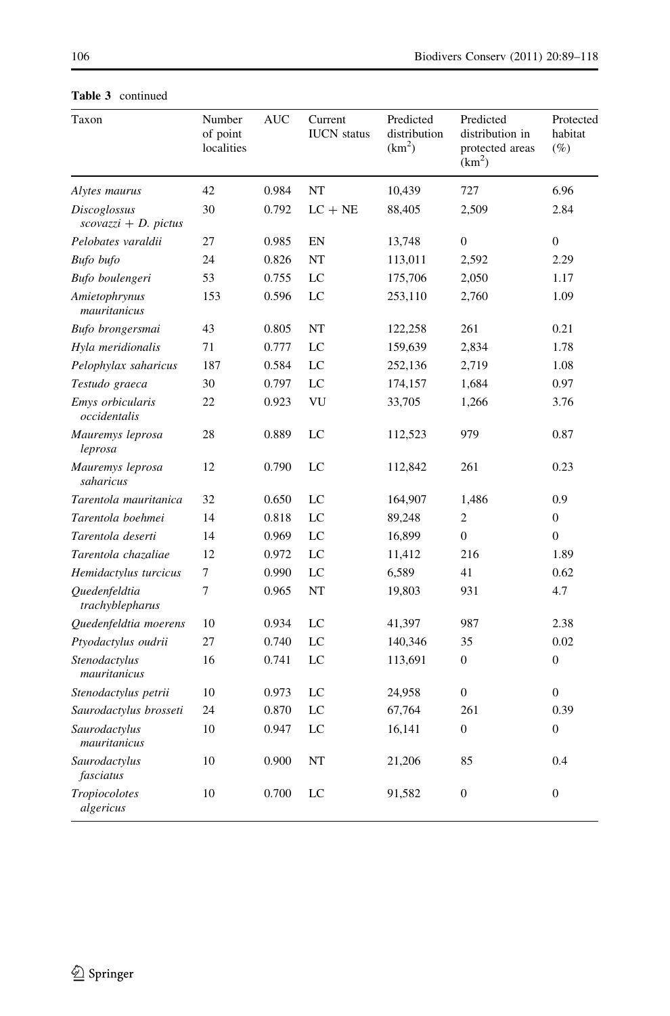| Taxon                                         | Number<br>of point<br>localities | <b>AUC</b> | Current<br><b>IUCN</b> status | Predicted<br>distribution<br>(km <sup>2</sup> ) | Predicted<br>distribution in<br>protected areas<br>(km <sup>2</sup> ) | Protected<br>habitat<br>$(\%)$ |
|-----------------------------------------------|----------------------------------|------------|-------------------------------|-------------------------------------------------|-----------------------------------------------------------------------|--------------------------------|
| Alytes maurus                                 | 42                               | 0.984      | NT                            | 10,439                                          | 727                                                                   | 6.96                           |
| <b>Discoglossus</b><br>$scovazzi + D.$ pictus | 30                               | 0.792      | $LC + NE$                     | 88,405                                          | 2,509                                                                 | 2.84                           |
| Pelobates varaldii                            | 27                               | 0.985      | EN                            | 13,748                                          | $\overline{0}$                                                        | $\boldsymbol{0}$               |
| Bufo bufo                                     | 24                               | 0.826      | NT                            | 113,011                                         | 2,592                                                                 | 2.29                           |
| Bufo boulengeri                               | 53                               | 0.755      | LC                            | 175,706                                         | 2,050                                                                 | 1.17                           |
| Amietophrynus<br>mauritanicus                 | 153                              | 0.596      | LC                            | 253,110                                         | 2,760                                                                 | 1.09                           |
| Bufo brongersmai                              | 43                               | 0.805      | NT                            | 122,258                                         | 261                                                                   | 0.21                           |
| Hyla meridionalis                             | 71                               | 0.777      | LC                            | 159,639                                         | 2.834                                                                 | 1.78                           |
| Pelophylax saharicus                          | 187                              | 0.584      | LC                            | 252,136                                         | 2,719                                                                 | 1.08                           |
| Testudo graeca                                | 30                               | 0.797      | LC                            | 174,157                                         | 1,684                                                                 | 0.97                           |
| Emys orbicularis<br>occidentalis              | 22                               | 0.923      | VU                            | 33,705                                          | 1,266                                                                 | 3.76                           |
| Mauremys leprosa<br>leprosa                   | 28                               | 0.889      | LC                            | 112,523                                         | 979                                                                   | 0.87                           |
| Mauremys leprosa<br>saharicus                 | 12                               | 0.790      | LC                            | 112,842                                         | 261                                                                   | 0.23                           |
| Tarentola mauritanica                         | 32                               | 0.650      | LC                            | 164,907                                         | 1.486                                                                 | 0.9                            |
| Tarentola boehmei                             | 14                               | 0.818      | LC                            | 89,248                                          | $\overline{2}$                                                        | $\mathbf{0}$                   |
| Tarentola deserti                             | 14                               | 0.969      | LC                            | 16,899                                          | $\overline{0}$                                                        | $\mathbf{0}$                   |
| Tarentola chazaliae                           | 12                               | 0.972      | LC                            | 11,412                                          | 216                                                                   | 1.89                           |
| Hemidactylus turcicus                         | 7                                | 0.990      | LC                            | 6,589                                           | 41                                                                    | 0.62                           |
| Ouedenfeldtia<br>trachyblepharus              | 7                                | 0.965      | NT                            | 19,803                                          | 931                                                                   | 4.7                            |
| Quedenfeldtia moerens                         | 10                               | 0.934      | LC                            | 41,397                                          | 987                                                                   | 2.38                           |
| Ptyodactylus oudrii                           | 27                               | 0.740      | LC                            | 140,346                                         | 35                                                                    | 0.02                           |
| Stenodactylus<br>mauritanicus                 | 16                               | 0.741      | LC                            | 113,691                                         | $\mathbf{0}$                                                          | $\mathbf{0}$                   |
| Stenodactylus petrii                          | 10                               | 0.973      | LC                            | 24,958                                          | $\Omega$                                                              | $\boldsymbol{0}$               |
| Saurodactylus brosseti                        | 24                               | 0.870      | LC                            | 67,764                                          | 261                                                                   | 0.39                           |
| Saurodactylus<br>mauritanicus                 | 10                               | 0.947      | LC                            | 16,141                                          | $\theta$                                                              | $\mathbf{0}$                   |
| Saurodactylus<br>fasciatus                    | 10                               | 0.900      | NT                            | 21,206                                          | 85                                                                    | 0.4                            |
| Tropiocolotes<br>algericus                    | 10                               | 0.700      | LC                            | 91,582                                          | $\mathbf{0}$                                                          | $\boldsymbol{0}$               |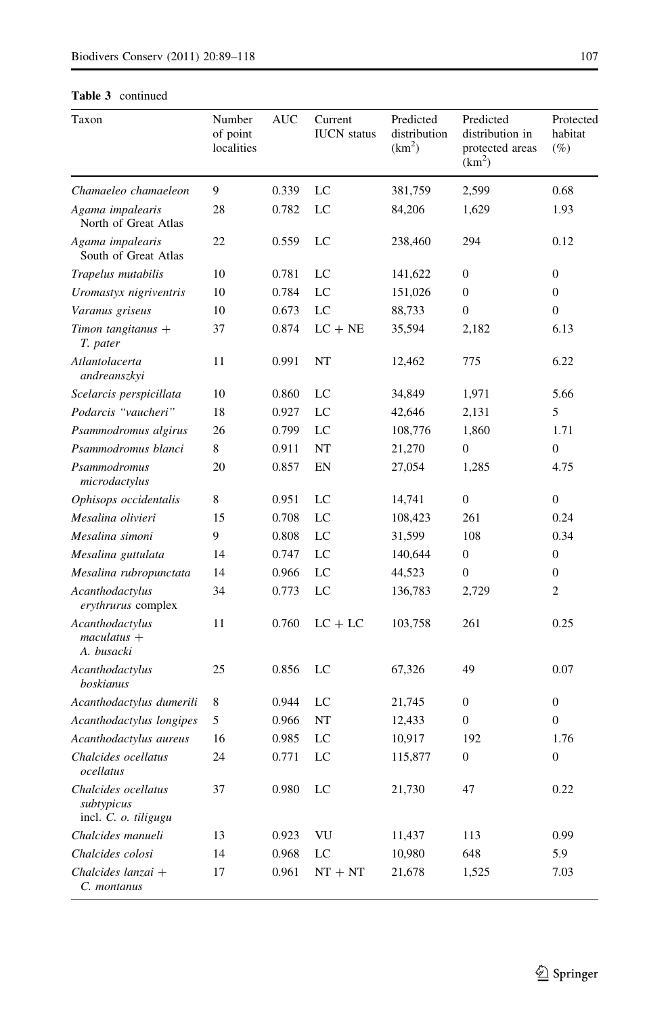| Taxon                                                     | Number<br>of point<br>localities | <b>AUC</b> | Current<br><b>IUCN</b> status | Predicted<br>distribution<br>$(km^2)$ | Predicted<br>distribution in<br>protected areas<br>$(km^2)$ | Protected<br>habitat<br>$(\%)$ |
|-----------------------------------------------------------|----------------------------------|------------|-------------------------------|---------------------------------------|-------------------------------------------------------------|--------------------------------|
| Chamaeleo chamaeleon                                      | 9                                | 0.339      | LC                            | 381,759                               | 2,599                                                       | 0.68                           |
| Agama impalearis<br>North of Great Atlas                  | 28                               | 0.782      | LC                            | 84,206                                | 1,629                                                       | 1.93                           |
| Agama impalearis<br>South of Great Atlas                  | 22                               | 0.559      | LC                            | 238,460                               | 294                                                         | 0.12                           |
| Trapelus mutabilis                                        | 10                               | 0.781      | LC                            | 141,622                               | $\mathbf{0}$                                                | $\mathbf{0}$                   |
| Uromastyx nigriventris                                    | 10                               | 0.784      | LC                            | 151,026                               | $\theta$                                                    | $\mathbf{0}$                   |
| Varanus griseus                                           | 10                               | 0.673      | LC                            | 88,733                                | $\mathbf{0}$                                                | $\mathbf{0}$                   |
| Timon tangitanus $+$<br>T. pater                          | 37                               | 0.874      | $LC + NE$                     | 35,594                                | 2,182                                                       | 6.13                           |
| Atlantolacerta<br>andreanszkyi                            | 11                               | 0.991      | NT                            | 12,462                                | 775                                                         | 6.22                           |
| Scelarcis perspicillata                                   | 10                               | 0.860      | LC                            | 34,849                                | 1,971                                                       | 5.66                           |
| Podarcis "vaucheri"                                       | 18                               | 0.927      | LC                            | 42,646                                | 2,131                                                       | 5                              |
| Psammodromus algirus                                      | 26                               | 0.799      | LC                            | 108,776                               | 1,860                                                       | 1.71                           |
| Psammodromus blanci                                       | 8                                | 0.911      | NT                            | 21,270                                | $\mathbf{0}$                                                | 0                              |
| Psammodromus<br>microdactylus                             | 20                               | 0.857      | EN                            | 27,054                                | 1,285                                                       | 4.75                           |
| Ophisops occidentalis                                     | 8                                | 0.951      | LC                            | 14,741                                | $\mathbf{0}$                                                | $\overline{0}$                 |
| Mesalina olivieri                                         | 15                               | 0.708      | $_{\rm LC}$                   | 108,423                               | 261                                                         | 0.24                           |
| Mesalina simoni                                           | 9                                | 0.808      | LC                            | 31,599                                | 108                                                         | 0.34                           |
| Mesalina guttulata                                        | 14                               | 0.747      | LC                            | 140,644                               | $\overline{0}$                                              | $\mathbf{0}$                   |
| Mesalina rubropunctata                                    | 14                               | 0.966      | LC                            | 44,523                                | $\mathbf{0}$                                                | $\overline{0}$                 |
| Acanthodactylus<br>erythrurus complex                     | 34                               | 0.773      | LC                            | 136,783                               | 2,729                                                       | $\overline{c}$                 |
| Acanthodactylus<br>$maculatus +$<br>A. busacki            | 11                               | 0.760      | $LC + LC$                     | 103,758                               | 261                                                         | 0.25                           |
| Acanthodactylus<br>boskianus                              | 25                               | 0.856      | LC                            | 67,326                                | 49                                                          | 0.07                           |
| Acanthodactylus dumerili                                  | 8                                | 0.944      | LC                            | 21,745                                | $\overline{0}$                                              | $\mathbf{0}$                   |
| Acanthodactylus longipes                                  | 5                                | 0.966      | NT                            | 12,433                                | $\boldsymbol{0}$                                            | $\boldsymbol{0}$               |
| Acanthodactylus aureus                                    | 16                               | 0.985      | LC                            | 10,917                                | 192                                                         | 1.76                           |
| Chalcides ocellatus<br>ocellatus                          | 24                               | 0.771      | LC                            | 115,877                               | $\mathbf{0}$                                                | $\mathbf{0}$                   |
| Chalcides ocellatus<br>subtypicus<br>incl. C. o. tiligugu | 37                               | 0.980      | LC                            | 21,730                                | 47                                                          | 0.22                           |
| Chalcides manueli                                         | 13                               | 0.923      | VU                            | 11,437                                | 113                                                         | 0.99                           |
| Chalcides colosi                                          | 14                               | 0.968      | LC                            | 10,980                                | 648                                                         | 5.9                            |
| Chalcides lanzai +<br>C. montanus                         | 17                               | 0.961      | $NT + NT$                     | 21,678                                | 1,525                                                       | 7.03                           |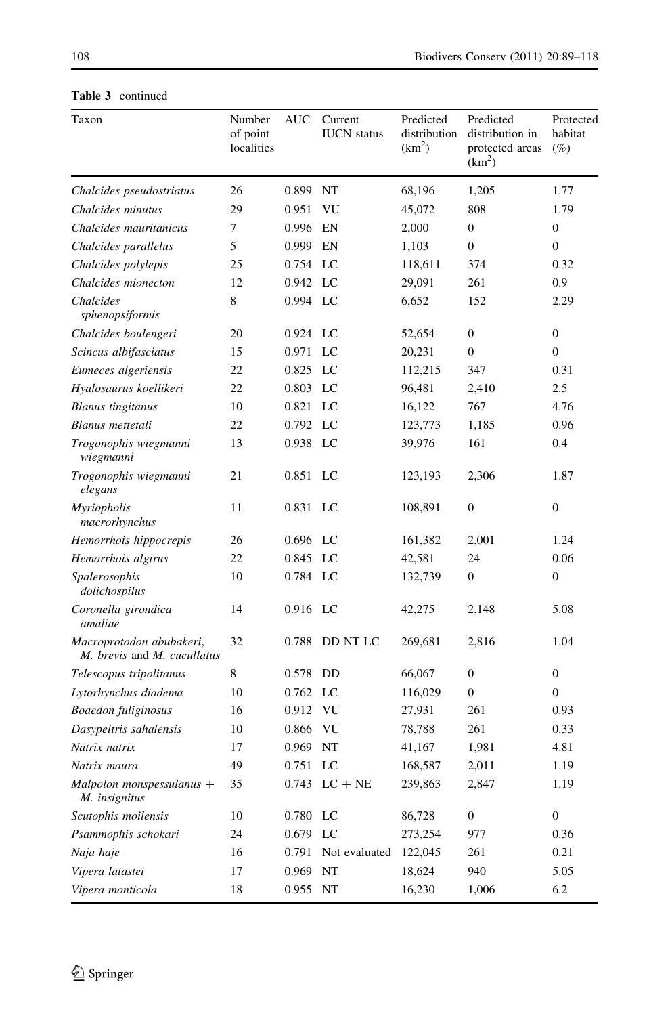| Taxon                                                   | Number<br>of point<br>localities | <b>AUC</b> | Current<br><b>IUCN</b> status | Predicted<br>distribution<br>(km <sup>2</sup> ) | Predicted<br>distribution in<br>protected areas<br>(km <sup>2</sup> ) | Protected<br>habitat<br>$(\%)$ |
|---------------------------------------------------------|----------------------------------|------------|-------------------------------|-------------------------------------------------|-----------------------------------------------------------------------|--------------------------------|
| Chalcides pseudostriatus                                | 26                               | 0.899      | NT                            | 68,196                                          | 1,205                                                                 | 1.77                           |
| Chalcides minutus                                       | 29                               | 0.951      | VU                            | 45,072                                          | 808                                                                   | 1.79                           |
| Chalcides mauritanicus                                  | $\overline{7}$                   | 0.996      | EN                            | 2,000                                           | $\overline{0}$                                                        | 0                              |
| Chalcides parallelus                                    | 5                                | 0.999      | EN                            | 1,103                                           | $\mathbf{0}$                                                          | $\overline{0}$                 |
| Chalcides polylepis                                     | 25                               | 0.754      | LC                            | 118,611                                         | 374                                                                   | 0.32                           |
| Chalcides mionecton                                     | 12                               | 0.942      | LC                            | 29,091                                          | 261                                                                   | 0.9                            |
| Chalcides<br>sphenopsiformis                            | 8                                | 0.994      | LC                            | 6,652                                           | 152                                                                   | 2.29                           |
| Chalcides boulengeri                                    | 20                               | 0.924      | LC                            | 52,654                                          | $\mathbf{0}$                                                          | $\boldsymbol{0}$               |
| Scincus albifasciatus                                   | 15                               | 0.971      | LC                            | 20,231                                          | $\mathbf{0}$                                                          | $\overline{0}$                 |
| Eumeces algeriensis                                     | 22                               | 0.825      | LC                            | 112,215                                         | 347                                                                   | 0.31                           |
| Hyalosaurus koellikeri                                  | 22                               | 0.803      | LC                            | 96,481                                          | 2,410                                                                 | 2.5                            |
| <b>Blanus</b> tingitanus                                | 10                               | 0.821      | LC                            | 16,122                                          | 767                                                                   | 4.76                           |
| Blanus mettetali                                        | 22                               | 0.792      | LC                            | 123,773                                         | 1,185                                                                 | 0.96                           |
| Trogonophis wiegmanni<br>wiegmanni                      | 13                               | 0.938      | LC                            | 39,976                                          | 161                                                                   | 0.4                            |
| Trogonophis wiegmanni<br>elegans                        | 21                               | 0.851      | LC                            | 123,193                                         | 2,306                                                                 | 1.87                           |
| Myriopholis<br>macrorhynchus                            | 11                               | 0.831      | LC                            | 108.891                                         | $\mathbf{0}$                                                          | $\mathbf{0}$                   |
| Hemorrhois hippocrepis                                  | 26                               | 0.696      | LC                            | 161,382                                         | 2.001                                                                 | 1.24                           |
| Hemorrhois algirus                                      | 22                               | 0.845      | LC                            | 42,581                                          | 24                                                                    | 0.06                           |
| Spalerosophis<br>dolichospilus                          | 10                               | 0.784      | LC                            | 132,739                                         | $\mathbf{0}$                                                          | $\overline{0}$                 |
| Coronella girondica<br>amaliae                          | 14                               | 0.916      | LC                            | 42,275                                          | 2,148                                                                 | 5.08                           |
| Macroprotodon abubakeri,<br>M. brevis and M. cucullatus | 32                               | 0.788      | DD NT LC                      | 269,681                                         | 2,816                                                                 | 1.04                           |
| Telescopus tripolitanus                                 | 8                                | 0.578      | DD                            | 66,067                                          | $\boldsymbol{0}$                                                      | $\boldsymbol{0}$               |
| Lytorhynchus diadema                                    | 10                               | 0.762      | $_{\rm LC}$                   | 116,029                                         | $\Omega$                                                              | $\overline{0}$                 |
| Boaedon fuliginosus                                     | 16                               | 0.912      | VU                            | 27,931                                          | 261                                                                   | 0.93                           |
| Dasypeltris sahalensis                                  | 10                               | 0.866      | <b>VU</b>                     | 78,788                                          | 261                                                                   | 0.33                           |
| Natrix natrix                                           | 17                               | 0.969      | NT                            | 41,167                                          | 1,981                                                                 | 4.81                           |
| Natrix maura                                            | 49                               | 0.751      | LC                            | 168,587                                         | 2,011                                                                 | 1.19                           |
| $Malpolon$ monspessulanus $+$<br>M. insignitus          | 35                               | 0.743      | $LC + NE$                     | 239,863                                         | 2,847                                                                 | 1.19                           |
| Scutophis moilensis                                     | 10                               | 0.780      | LC                            | 86,728                                          | $\boldsymbol{0}$                                                      | 0                              |
| Psammophis schokari                                     | 24                               | 0.679      | LC                            | 273,254                                         | 977                                                                   | 0.36                           |
| Naja haje                                               | 16                               | 0.791      | Not evaluated                 | 122,045                                         | 261                                                                   | 0.21                           |
| Vipera latastei                                         | 17                               | 0.969      | NT                            | 18,624                                          | 940                                                                   | 5.05                           |
| Vipera monticola                                        | 18                               | 0.955      | NT                            | 16,230                                          | 1,006                                                                 | 6.2                            |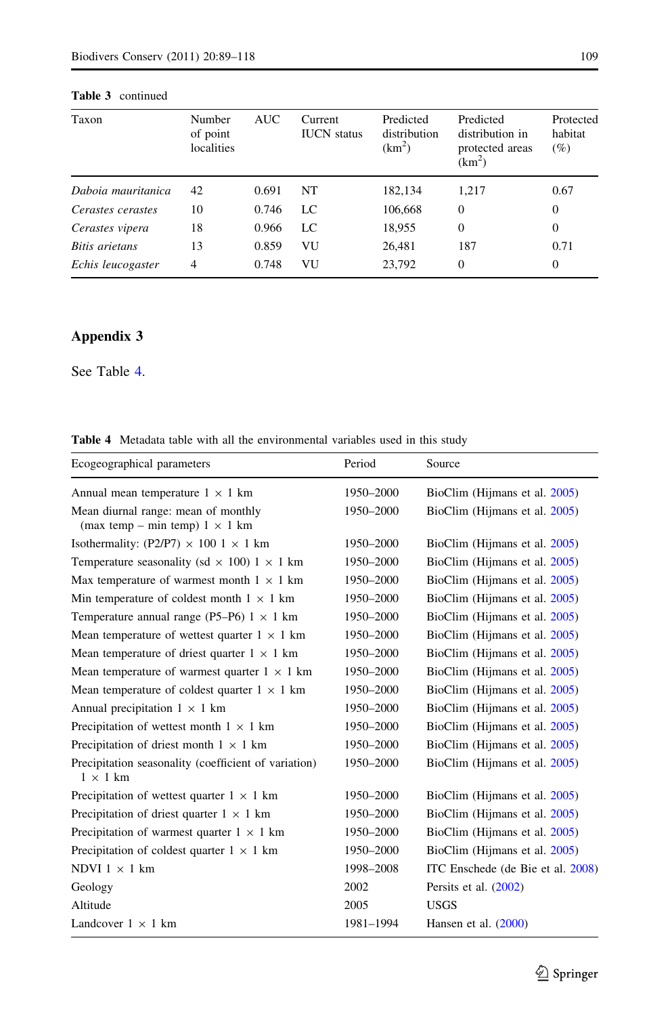| Taxon              | Number<br>of point<br>localities | <b>AUC</b> | Current<br><b>IUCN</b> status | Predicted<br>distribution<br>(km <sup>2</sup> ) | Predicted<br>distribution in<br>protected areas<br>$(km^2)$ | Protected<br>habitat<br>$(\%)$ |
|--------------------|----------------------------------|------------|-------------------------------|-------------------------------------------------|-------------------------------------------------------------|--------------------------------|
| Daboia mauritanica | 42                               | 0.691      | NT                            | 182,134                                         | 1,217                                                       | 0.67                           |
| Cerastes cerastes  | 10                               | 0.746      | LC                            | 106,668                                         | $\theta$                                                    | $\overline{0}$                 |
| Cerastes vipera    | 18                               | 0.966      | LC                            | 18,955                                          | $\Omega$                                                    | $\overline{0}$                 |
| Bitis arietans     | 13                               | 0.859      | VU                            | 26,481                                          | 187                                                         | 0.71                           |
| Echis leucogaster  | 4                                | 0.748      | VU                            | 23,792                                          | $\Omega$                                                    | 0                              |

## Appendix 3

See Table 4.

Table 4 Metadata table with all the environmental variables used in this study

| Ecogeographical parameters                                                   | Period    | Source                            |
|------------------------------------------------------------------------------|-----------|-----------------------------------|
| Annual mean temperature $1 \times 1$ km                                      | 1950-2000 | BioClim (Hijmans et al. 2005)     |
| Mean diurnal range: mean of monthly<br>(max temp – min temp) $1 \times 1$ km | 1950-2000 | BioClim (Hijmans et al. 2005)     |
| Isothermality: (P2/P7) $\times$ 100 1 $\times$ 1 km                          | 1950-2000 | BioClim (Hijmans et al. 2005)     |
| Temperature seasonality (sd $\times$ 100) 1 $\times$ 1 km                    | 1950-2000 | BioClim (Hijmans et al. 2005)     |
| Max temperature of warmest month $1 \times 1$ km                             | 1950-2000 | BioClim (Hijmans et al. 2005)     |
| Min temperature of coldest month $1 \times 1$ km                             | 1950-2000 | BioClim (Hijmans et al. 2005)     |
| Temperature annual range (P5–P6) $1 \times 1$ km                             | 1950-2000 | BioClim (Hijmans et al. 2005)     |
| Mean temperature of wettest quarter $1 \times 1$ km                          | 1950-2000 | BioClim (Hijmans et al. 2005)     |
| Mean temperature of driest quarter $1 \times 1$ km                           | 1950-2000 | BioClim (Hijmans et al. 2005)     |
| Mean temperature of warmest quarter $1 \times 1$ km                          | 1950-2000 | BioClim (Hijmans et al. 2005)     |
| Mean temperature of coldest quarter $1 \times 1$ km                          | 1950-2000 | BioClim (Hijmans et al. 2005)     |
| Annual precipitation $1 \times 1$ km                                         | 1950-2000 | BioClim (Hijmans et al. 2005)     |
| Precipitation of wettest month $1 \times 1$ km                               | 1950-2000 | BioClim (Hijmans et al. 2005)     |
| Precipitation of driest month $1 \times 1$ km                                | 1950-2000 | BioClim (Hijmans et al. 2005)     |
| Precipitation seasonality (coefficient of variation)<br>$1 \times 1$ km      | 1950-2000 | BioClim (Hijmans et al. 2005)     |
| Precipitation of wettest quarter $1 \times 1$ km                             | 1950-2000 | BioClim (Hijmans et al. 2005)     |
| Precipitation of driest quarter $1 \times 1$ km                              | 1950-2000 | BioClim (Hijmans et al. 2005)     |
| Precipitation of warmest quarter $1 \times 1$ km                             | 1950-2000 | BioClim (Hijmans et al. 2005)     |
| Precipitation of coldest quarter $1 \times 1$ km                             | 1950-2000 | BioClim (Hijmans et al. 2005)     |
| NDVI $1 \times 1$ km                                                         | 1998-2008 | ITC Enschede (de Bie et al. 2008) |
| Geology                                                                      | 2002      | Persits et al. $(2002)$           |
| Altitude                                                                     | 2005      | <b>USGS</b>                       |
| Landcover $1 \times 1$ km                                                    | 1981-1994 | Hansen et al. $(2000)$            |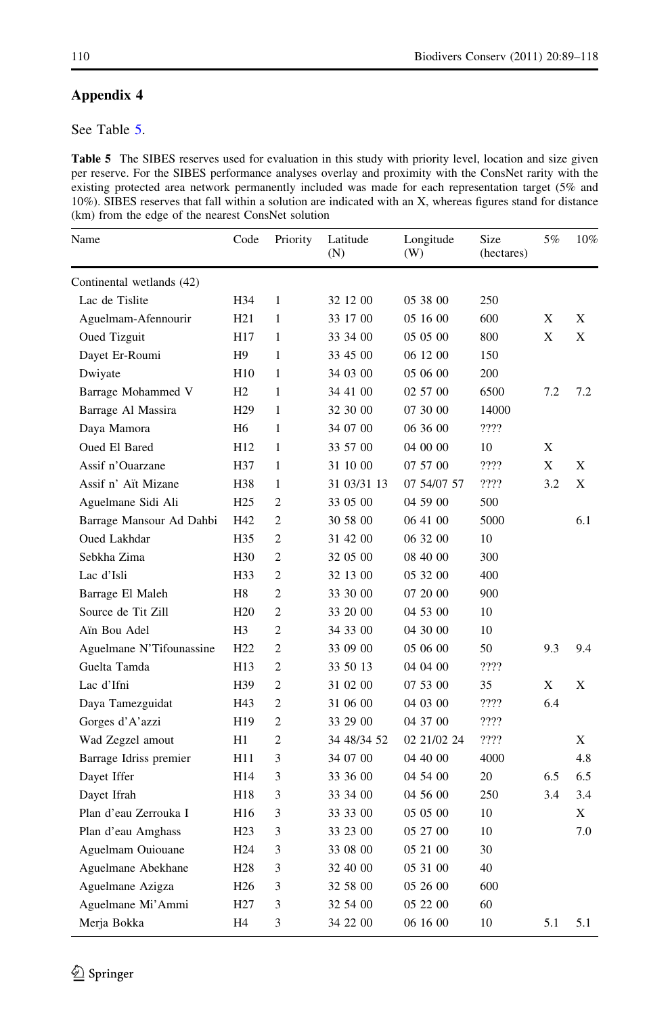## Appendix 4

See Table 5.

Table 5 The SIBES reserves used for evaluation in this study with priority level, location and size given per reserve. For the SIBES performance analyses overlay and proximity with the ConsNet rarity with the existing protected area network permanently included was made for each representation target (5% and 10%). SIBES reserves that fall within a solution are indicated with an X, whereas figures stand for distance (km) from the edge of the nearest ConsNet solution

| Name                      | Code            | Priority       | Latitude<br>(N) | Longitude<br>(W) | Size<br>(hectares) | 5%  | 10% |
|---------------------------|-----------------|----------------|-----------------|------------------|--------------------|-----|-----|
| Continental wetlands (42) |                 |                |                 |                  |                    |     |     |
| Lac de Tislite            | H34             | 1              | 32 12 00        | 05 38 00         | 250                |     |     |
| Aguelmam-Afennourir       | H <sub>21</sub> | 1              | 33 17 00        | 05 16 00         | 600                | X   | X   |
| Oued Tizguit              | H17             | 1              | 33 34 00        | 05 05 00         | 800                | X   | X   |
| Dayet Er-Roumi            | H9              | 1              | 33 45 00        | 06 12 00         | 150                |     |     |
| Dwiyate                   | H <sub>10</sub> | 1              | 34 03 00        | 05 06 00         | 200                |     |     |
| Barrage Mohammed V        | H <sub>2</sub>  | 1              | 34 41 00        | 02 57 00         | 6500               | 7.2 | 7.2 |
| Barrage Al Massira        | H <sub>29</sub> | 1              | 32 30 00        | 07 30 00         | 14000              |     |     |
| Daya Mamora               | H6              | 1              | 34 07 00        | 06 36 00         | ????               |     |     |
| Oued El Bared             | H12             | 1              | 33 57 00        | 04 00 00         | 10                 | Χ   |     |
| Assif n'Ouarzane          | H37             | $\mathbf{1}$   | 31 10 00        | 07 57 00         | ????               | X   | X   |
| Assif n' Aït Mizane       | H38             | 1              | 31 03/31 13     | 07 54/07 57      | ????               | 3.2 | X   |
| Aguelmane Sidi Ali        | H <sub>25</sub> | $\overline{c}$ | 33 05 00        | 04 59 00         | 500                |     |     |
| Barrage Mansour Ad Dahbi  | H42             | $\overline{c}$ | 30 58 00        | 06 41 00         | 5000               |     | 6.1 |
| Oued Lakhdar              | H35             | $\overline{2}$ | 31 42 00        | 06 32 00         | 10                 |     |     |
| Sebkha Zima               | H30             | $\overline{c}$ | 32 05 00        | 08 40 00         | 300                |     |     |
| Lac d'Isli                | H33             | $\overline{c}$ | 32 13 00        | 05 32 00         | 400                |     |     |
| Barrage El Maleh          | H8              | $\overline{c}$ | 33 30 00        | 07 20 00         | 900                |     |     |
| Source de Tit Zill        | H <sub>20</sub> | $\overline{c}$ | 33 20 00        | 04 53 00         | 10                 |     |     |
| Aïn Bou Adel              | H <sub>3</sub>  | $\overline{c}$ | 34 33 00        | 04 30 00         | 10                 |     |     |
| Aguelmane N'Tifounassine  | H <sub>22</sub> | $\overline{c}$ | 33 09 00        | 05 06 00         | 50                 | 9.3 | 9.4 |
| Guelta Tamda              | H13             | $\overline{c}$ | 33 50 13        | 04 04 00         | ????               |     |     |
| Lac d'Ifni                | H39             | $\overline{c}$ | 31 02 00        | 07 53 00         | 35                 | X   | X   |
| Daya Tamezguidat          | H43             | $\overline{c}$ | 31 06 00        | 04 03 00         | ????               | 6.4 |     |
| Gorges d'A'azzi           | H19             | 2              | 33 29 00        | 04 37 00         | ????               |     |     |
| Wad Zegzel amout          | H1              | $\overline{c}$ | 34 48/34 52     | 02 21/02 24      | ????               |     | X   |
| Barrage Idriss premier    | H11             | 3              | 34 07 00        | 04 40 00         | 4000               |     | 4.8 |
| Dayet Iffer               | H14             | 3              | 33 36 00        | 04 54 00         | 20                 | 6.5 | 6.5 |
| Dayet Ifrah               | H18             | 3              | 33 34 00        | 04 56 00         | 250                | 3.4 | 3.4 |
| Plan d'eau Zerrouka I     | H <sub>16</sub> | 3              | 33 33 00        | 05 05 00         | 10                 |     | X   |
| Plan d'eau Amghass        | H <sub>23</sub> | 3              | 33 23 00        | 05 27 00         | 10                 |     | 7.0 |
| Aguelmam Ouiouane         | H <sub>24</sub> | 3              | 33 08 00        | 05 21 00         | 30                 |     |     |
| Aguelmane Abekhane        | H28             | 3              | 32 40 00        | 05 31 00         | 40                 |     |     |
| Aguelmane Azigza          | H26             | 3              | 32 58 00        | 05 26 00         | 600                |     |     |
| Aguelmane Mi'Ammi         | H27             | 3              | 32 54 00        | 05 22 00         | 60                 |     |     |
| Merja Bokka               | Η4              | 3              | 34 22 00        | 06 16 00         | 10                 | 5.1 | 5.1 |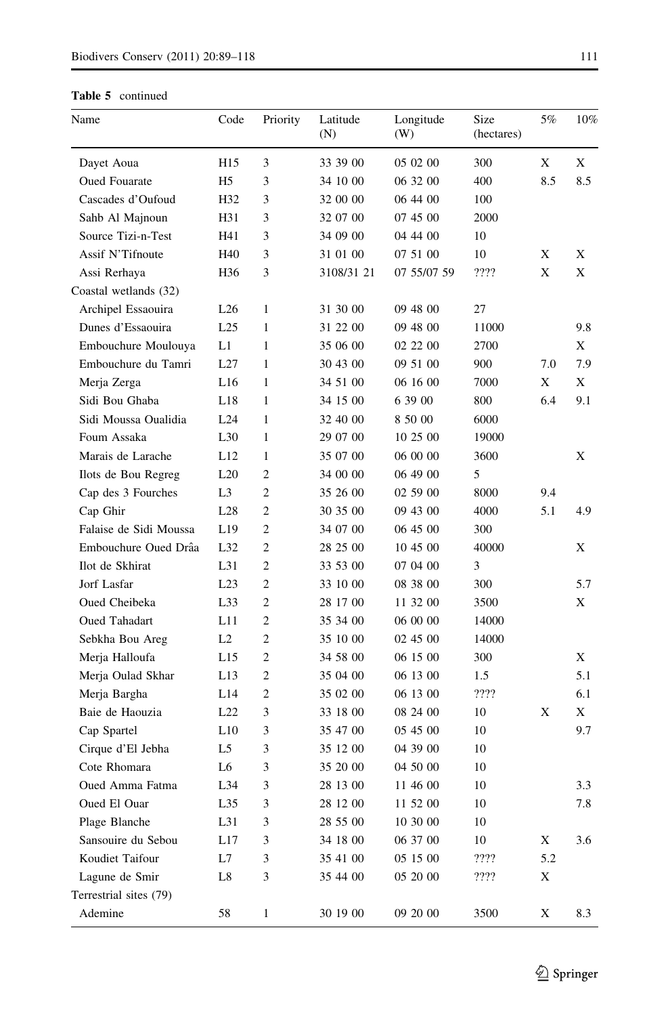| Name                   | Code            | Priority                    | Latitude<br>(N) | Longitude<br>(W) | Size<br>(hectares) | 5%  | 10% |
|------------------------|-----------------|-----------------------------|-----------------|------------------|--------------------|-----|-----|
| Dayet Aoua             | H15             | 3                           | 33 39 00        | 05 02 00         | 300                | Χ   | X   |
| <b>Oued Fouarate</b>   | H5              | 3                           | 34 10 00        | 06 32 00         | 400                | 8.5 | 8.5 |
| Cascades d'Oufoud      | H32             | 3                           | 32 00 00        | 06 44 00         | 100                |     |     |
| Sahb Al Majnoun        | H31             | 3                           | 32 07 00        | 07 45 00         | 2000               |     |     |
| Source Tizi-n-Test     | H41             | 3                           | 34 09 00        | 04 44 00         | 10                 |     |     |
| Assif N'Tifnoute       | H40             | 3                           | 31 01 00        | 07 51 00         | 10                 | Χ   | Χ   |
| Assi Rerhaya           | H36             | 3                           | 3108/31 21      | 07 55/07 59      | ????               | X   | Χ   |
| Coastal wetlands (32)  |                 |                             |                 |                  |                    |     |     |
| Archipel Essaouira     | L26             | 1                           | 31 30 00        | 09 48 00         | 27                 |     |     |
| Dunes d'Essaouira      | L25             | 1                           | 31 22 00        | 09 48 00         | 11000              |     | 9.8 |
| Embouchure Moulouya    | L1              | 1                           | 35 06 00        | 02 22 00         | 2700               |     | X   |
| Embouchure du Tamri    | L27             | 1                           | 30 43 00        | 09 51 00         | 900                | 7.0 | 7.9 |
| Merja Zerga            | L16             | 1                           | 34 51 00        | 06 16 00         | 7000               | X   | X   |
| Sidi Bou Ghaba         | L18             | 1                           | 34 15 00        | 6 39 00          | 800                | 6.4 | 9.1 |
| Sidi Moussa Oualidia   | L24             | 1                           | 32 40 00        | 8 50 00          | 6000               |     |     |
| Foum Assaka            | L <sub>30</sub> | 1                           | 29 07 00        | 10 25 00         | 19000              |     |     |
| Marais de Larache      | L12             | 1                           | 35 07 00        | 06 00 00         | 3600               |     | Χ   |
| Ilots de Bou Regreg    | L20             | 2                           | 34 00 00        | 06 49 00         | 5                  |     |     |
| Cap des 3 Fourches     | L3              | $\overline{c}$              | 35 26 00        | 02 59 00         | 8000               | 9.4 |     |
| Cap Ghir               | L28             | 2                           | 30 35 00        | 09 43 00         | 4000               | 5.1 | 4.9 |
| Falaise de Sidi Moussa | L19             | $\overline{c}$              | 34 07 00        | 06 45 00         | 300                |     |     |
| Embouchure Oued Drâa   | L32             | $\overline{c}$              | 28 25 00        | 10 45 00         | 40000              |     | X   |
| Ilot de Skhirat        | L31             | $\overline{c}$              | 33 53 00        | 07 04 00         | 3                  |     |     |
| Jorf Lasfar            | L23             | $\overline{c}$              | 33 10 00        | 08 38 00         | 300                |     | 5.7 |
| Oued Cheibeka          | L33             | $\overline{c}$              | 28 17 00        | 11 32 00         | 3500               |     | X   |
| Oued Tahadart          | L11             | $\overline{c}$              | 35 34 00        | 06 00 00         | 14000              |     |     |
| Sebkha Bou Areg        | L <sub>2</sub>  | $\overline{c}$              | 35 10 00        | 02 45 00         | 14000              |     |     |
| Merja Halloufa         | L15             | 2                           | 34 58 00        | 06 15 00         | 300                |     | X   |
| Merja Oulad Skhar      | L13             | $\overline{c}$              | 35 04 00        | 06 13 00         | 1.5                |     | 5.1 |
| Merja Bargha           | L14             | $\overline{c}$              | 35 02 00        | 06 13 00         | ????               |     | 6.1 |
| Baie de Haouzia        | L22             | 3                           | 33 18 00        | 08 24 00         | 10                 | Χ   | X   |
| Cap Spartel            | L10             | 3                           | 35 47 00        | 05 45 00         | 10                 |     | 9.7 |
| Cirque d'El Jebha      | L5              | 3                           | 35 12 00        | 04 39 00         | 10                 |     |     |
| Cote Rhomara           | L6              | 3                           | 35 20 00        | 04 50 00         | 10                 |     |     |
| Oued Amma Fatma        | L34             | 3                           | 28 13 00        | 11 46 00         | 10                 |     | 3.3 |
| Oued El Ouar           | L35             | $\ensuremath{\mathfrak{Z}}$ | 28 12 00        | 11 52 00         | 10                 |     | 7.8 |
| Plage Blanche          | L31             | $\ensuremath{\mathfrak{Z}}$ | 28 55 00        | 10 30 00         | $10\,$             |     |     |
| Sansouire du Sebou     | L17             | $\ensuremath{\mathfrak{Z}}$ | 34 18 00        | 06 37 00         | $10\,$             | X   | 3.6 |
| Koudiet Taifour        | L7              | $\ensuremath{\mathfrak{Z}}$ | 35 41 00        | 05 15 00         | ????               | 5.2 |     |
| Lagune de Smir         | $^{\rm L8}$     | 3                           | 35 44 00        | 05 20 00         | ????               | X   |     |
| Terrestrial sites (79) |                 |                             |                 |                  |                    |     |     |
| Ademine                | 58              | $\,1$                       | 30 19 00        | 09 20 00         | 3500               | X   | 8.3 |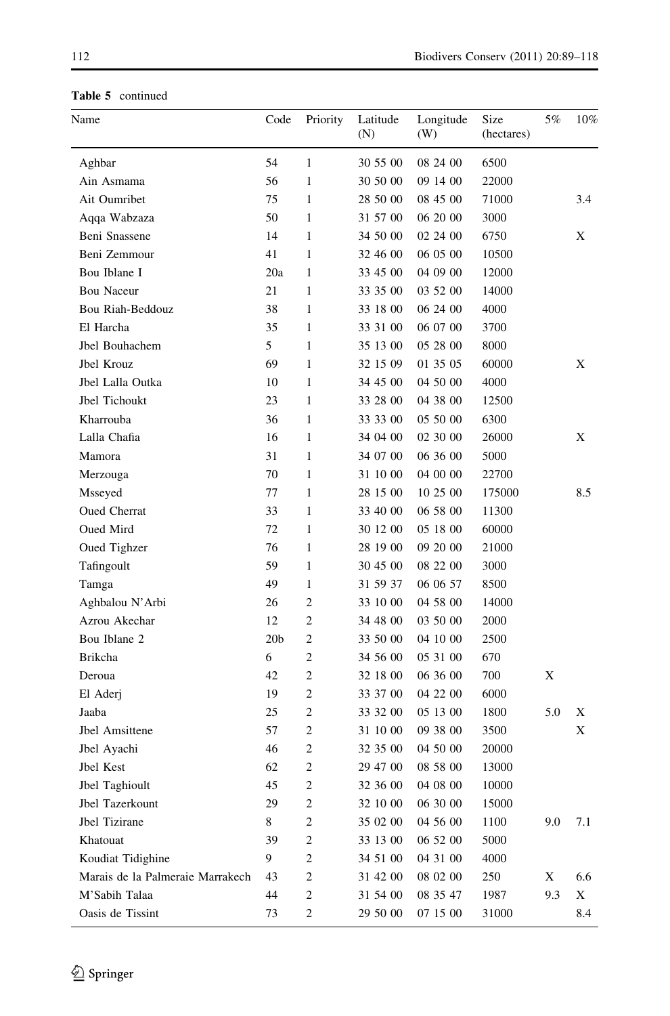| Name                             | Code            | Priority       | Latitude<br>(N) | Longitude<br>(W) | Size<br>(hectares) | 5%  | 10% |
|----------------------------------|-----------------|----------------|-----------------|------------------|--------------------|-----|-----|
| Aghbar                           | 54              | $\mathbf{1}$   | 30 55 00        | 08 24 00         | 6500               |     |     |
| Ain Asmama                       | 56              | $\mathbf{1}$   | 30 50 00        | 09 14 00         | 22000              |     |     |
| Ait Oumribet                     | 75              | $\mathbf{1}$   | 28 50 00        | 08 45 00         | 71000              |     | 3.4 |
| Aqqa Wabzaza                     | 50              | $\mathbf{1}$   | 31 57 00        | 06 20 00         | 3000               |     |     |
| Beni Snassene                    | 14              | $\mathbf{1}$   | 34 50 00        | 02 24 00         | 6750               |     | X   |
| Beni Zemmour                     | 41              | $\mathbf{1}$   | 32 46 00        | 06 05 00         | 10500              |     |     |
| Bou Iblane I                     | 20a             | $\mathbf{1}$   | 33 45 00        | 04 09 00         | 12000              |     |     |
| Bou Naceur                       | 21              | $\mathbf{1}$   | 33 35 00        | 03 52 00         | 14000              |     |     |
| Bou Riah-Beddouz                 | 38              | $\mathbf{1}$   | 33 18 00        | 06 24 00         | 4000               |     |     |
| El Harcha                        | 35              | $\mathbf{1}$   | 33 31 00        | 06 07 00         | 3700               |     |     |
| Jbel Bouhachem                   | 5               | $\mathbf{1}$   | 35 13 00        | 05 28 00         | 8000               |     |     |
| Jbel Krouz                       | 69              | $\mathbf{1}$   | 32 15 09        | 01 35 05         | 60000              |     | Х   |
| Jbel Lalla Outka                 | 10              | 1              | 34 45 00        | 04 50 00         | 4000               |     |     |
| Jbel Tichoukt                    | 23              | $\mathbf{1}$   | 33 28 00        | 04 38 00         | 12500              |     |     |
| Kharrouba                        | 36              | 1              | 33 33 00        | 05 50 00         | 6300               |     |     |
| Lalla Chafia                     | 16              | 1              | 34 04 00        | 02 30 00         | 26000              |     | Х   |
| Mamora                           | 31              | 1              | 34 07 00        | 06 36 00         | 5000               |     |     |
| Merzouga                         | 70              | $\mathbf{1}$   | 31 10 00        | 04 00 00         | 22700              |     |     |
| Msseyed                          | 77              | 1              | 28 15 00        | 10 25 00         | 175000             |     | 8.5 |
| <b>Oued Cherrat</b>              | 33              | $\mathbf{1}$   | 33 40 00        | 06 58 00         | 11300              |     |     |
| Oued Mird                        | 72              | 1              | 30 12 00        | 05 18 00         | 60000              |     |     |
| Oued Tighzer                     | 76              | 1              | 28 19 00        | 09 20 00         | 21000              |     |     |
| Tafingoult                       | 59              | $\mathbf{1}$   | 30 45 00        | 08 22 00         | 3000               |     |     |
| Tamga                            | 49              | 1              | 31 59 37        | 06 06 57         | 8500               |     |     |
| Aghbalou N'Arbi                  | 26              | $\overline{c}$ | 33 10 00        | 04 58 00         | 14000              |     |     |
| Azrou Akechar                    | 12              | $\overline{c}$ | 34 48 00        | 03 50 00         | 2000               |     |     |
| Bou Iblane 2                     | 20 <sub>b</sub> | $\overline{c}$ | 33 50 00        | 04 10 00         | 2500               |     |     |
| Brikcha                          | 6               | $\overline{c}$ | 34 56 00        | 05 31 00         | 670                |     |     |
| Deroua                           | 42              | $\overline{c}$ | 32 18 00        | 06 36 00         | 700                | X   |     |
| El Aderj                         | 19              | $\overline{c}$ | 33 37 00        | 04 22 00         | 6000               |     |     |
| Jaaba                            | 25              | $\overline{c}$ | 33 32 00        | 05 13 00         | 1800               | 5.0 | Х   |
| Jbel Amsittene                   | 57              | $\overline{c}$ | 31 10 00        | 09 38 00         | 3500               |     | Х   |
| Jbel Ayachi                      | 46              | $\overline{c}$ | 32 35 00        | 04 50 00         | 20000              |     |     |
| Jbel Kest                        | 62              | $\overline{c}$ | 29 47 00        | 08 58 00         | 13000              |     |     |
| Jbel Taghioult                   | 45              | $\overline{c}$ | 32 36 00        | 04 08 00         | 10000              |     |     |
| Jbel Tazerkount                  | 29              | $\overline{c}$ | 32 10 00        | 06 30 00         | 15000              |     |     |
| Jbel Tizirane                    | 8               | $\sqrt{2}$     | 35 02 00        | 04 56 00         | 1100               | 9.0 | 7.1 |
| Khatouat                         | 39              | $\sqrt{2}$     | 33 13 00        | 06 52 00         | 5000               |     |     |
| Koudiat Tidighine                | 9               | $\sqrt{2}$     | 34 51 00        | 04 31 00         | 4000               |     |     |
| Marais de la Palmeraie Marrakech | 43              | $\sqrt{2}$     | 31 42 00        | 08 02 00         | 250                | X   | 6.6 |
| M'Sabih Talaa                    | 44              | $\sqrt{2}$     | 31 54 00        | 08 35 47         | 1987               | 9.3 | X   |
| Oasis de Tissint                 | 73              | $\sqrt{2}$     | 29 50 00        | 07 15 00         | 31000              |     | 8.4 |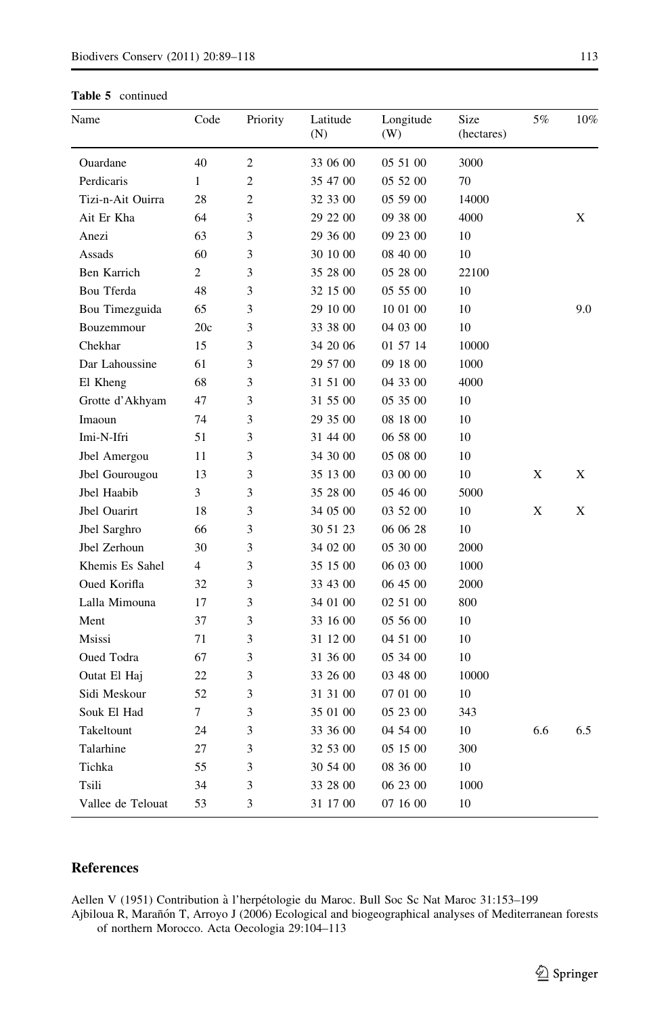<span id="page-24-0"></span>

| Name              | Code           | Priority       | Latitude<br>(N) | Longitude<br>(W) | Size<br>(hectares) | 5%  | 10% |
|-------------------|----------------|----------------|-----------------|------------------|--------------------|-----|-----|
| Ouardane          | 40             | $\overline{c}$ | 33 06 00        | 05 51 00         | 3000               |     |     |
| Perdicaris        | $\mathbf{1}$   | $\overline{2}$ | 35 47 00        | 05 52 00         | 70                 |     |     |
| Tizi-n-Ait Ouirra | 28             | $\overline{c}$ | 32 33 00        | 05 59 00         | 14000              |     |     |
| Ait Er Kha        | 64             | 3              | 29 22 00        | 09 38 00         | 4000               |     | X   |
| Anezi             | 63             | 3              | 29 36 00        | 09 23 00         | 10                 |     |     |
| Assads            | 60             | 3              | 30 10 00        | 08 40 00         | 10                 |     |     |
| Ben Karrich       | $\overline{c}$ | 3              | 35 28 00        | 05 28 00         | 22100              |     |     |
| Bou Tferda        | 48             | 3              | 32 15 00        | 05 55 00         | 10                 |     |     |
| Bou Timezguida    | 65             | 3              | 29 10 00        | 10 01 00         | 10                 |     | 9.0 |
| Bouzemmour        | 20c            | 3              | 33 38 00        | 04 03 00         | 10                 |     |     |
| Chekhar           | 15             | 3              | 34 20 06        | 01 57 14         | 10000              |     |     |
| Dar Lahoussine    | 61             | 3              | 29 57 00        | 09 18 00         | 1000               |     |     |
| El Kheng          | 68             | 3              | 31 51 00        | 04 33 00         | 4000               |     |     |
| Grotte d'Akhyam   | 47             | 3              | 31 55 00        | 05 35 00         | 10                 |     |     |
| Imaoun            | 74             | 3              | 29 35 00        | 08 18 00         | 10                 |     |     |
| Imi-N-Ifri        | 51             | 3              | 31 44 00        | 06 58 00         | 10                 |     |     |
| Jbel Amergou      | 11             | 3              | 34 30 00        | 05 08 00         | 10                 |     |     |
| Jbel Gourougou    | 13             | 3              | 35 13 00        | 03 00 00         | 10                 | X   | X   |
| Jbel Haabib       | 3              | 3              | 35 28 00        | 05 46 00         | 5000               |     |     |
| Jbel Ouarirt      | 18             | 3              | 34 05 00        | 03 52 00         | 10                 | X   | X   |
| Jbel Sarghro      | 66             | 3              | 30 51 23        | 06 06 28         | 10                 |     |     |
| Jbel Zerhoun      | 30             | 3              | 34 02 00        | 05 30 00         | 2000               |     |     |
| Khemis Es Sahel   | 4              | 3              | 35 15 00        | 06 03 00         | 1000               |     |     |
| Oued Korifla      | 32             | 3              | 33 43 00        | 06 45 00         | 2000               |     |     |
| Lalla Mimouna     | 17             | 3              | 34 01 00        | 02 51 00         | 800                |     |     |
| Ment              | 37             | 3              | 33 16 00        | 05 56 00         | 10                 |     |     |
| Msissi            | 71             | 3              | 31 12 00        | 04 51 00         | 10                 |     |     |
| Oued Todra        | 67             | 3              | 31 36 00        | 05 34 00         | 10                 |     |     |
| Outat El Haj      | 22             | 3              | 33 26 00        | 03 48 00         | 10000              |     |     |
| Sidi Meskour      | 52             | 3              | 31 31 00        | 07 01 00         | 10                 |     |     |
| Souk El Had       | 7              | 3              | 35 01 00        | 05 23 00         | 343                |     |     |
| Takeltount        | 24             | 3              | 33 36 00        | 04 54 00         | 10                 | 6.6 | 6.5 |
| Talarhine         | 27             | 3              | 32 53 00        | 05 15 00         | 300                |     |     |
| Tichka            | 55             | 3              | 30 54 00        | 08 36 00         | 10                 |     |     |
| Tsili             | 34             | 3              | 33 28 00        | 06 23 00         | 1000               |     |     |
| Vallee de Telouat | 53             | 3              | 31 17 00        | 07 16 00         | 10                 |     |     |

## References

Aellen V (1951) Contribution à l'herpétologie du Maroc. Bull Soc Sc Nat Maroc 31:153-199 Ajbiloua R, Marañón T, Arroyo J (2006) Ecological and biogeographical analyses of Mediterranean forests

of northern Morocco. Acta Oecologia 29:104–113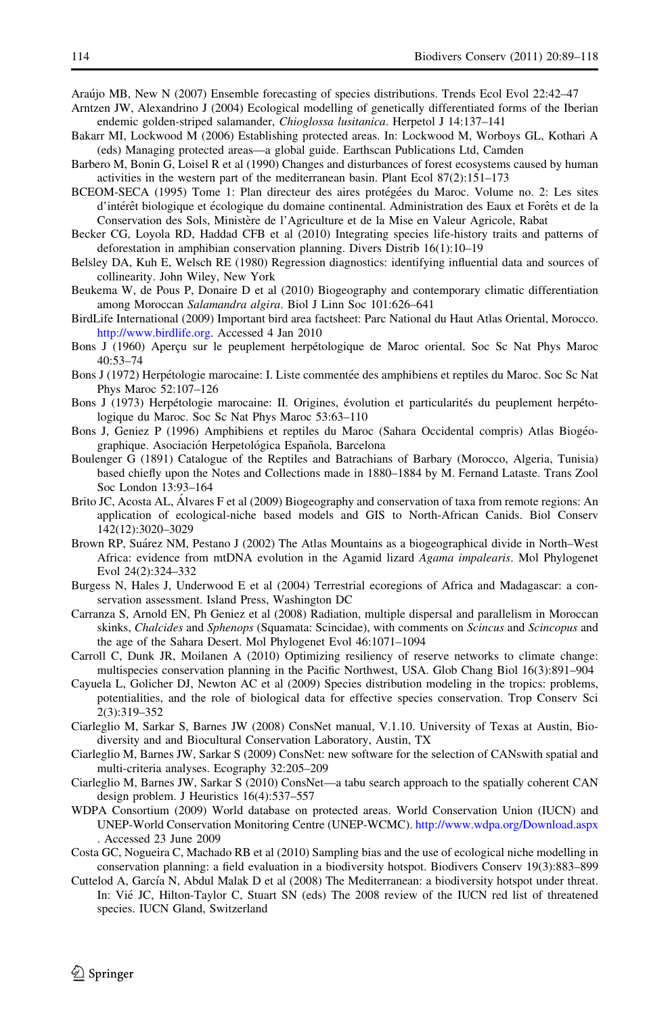<span id="page-25-0"></span>Arau´jo MB, New N (2007) Ensemble forecasting of species distributions. Trends Ecol Evol 22:42–47

- Arntzen JW, Alexandrino J (2004) Ecological modelling of genetically differentiated forms of the Iberian endemic golden-striped salamander, Chioglossa lusitanica. Herpetol J 14:137–141
- Bakarr MI, Lockwood M (2006) Establishing protected areas. In: Lockwood M, Worboys GL, Kothari A (eds) Managing protected areas—a global guide. Earthscan Publications Ltd, Camden
- Barbero M, Bonin G, Loisel R et al (1990) Changes and disturbances of forest ecosystems caused by human activities in the western part of the mediterranean basin. Plant Ecol 87(2):151–173
- BCEOM-SECA (1995) Tome 1: Plan directeur des aires protégées du Maroc. Volume no. 2: Les sites d'intérêt biologique et écologique du domaine continental. Administration des Eaux et Forêts et de la Conservation des Sols, Ministère de l'Agriculture et de la Mise en Valeur Agricole, Rabat
- Becker CG, Loyola RD, Haddad CFB et al (2010) Integrating species life-history traits and patterns of deforestation in amphibian conservation planning. Divers Distrib 16(1):10–19
- Belsley DA, Kuh E, Welsch RE (1980) Regression diagnostics: identifying influential data and sources of collinearity. John Wiley, New York
- Beukema W, de Pous P, Donaire D et al (2010) Biogeography and contemporary climatic differentiation among Moroccan Salamandra algira. Biol J Linn Soc 101:626–641
- BirdLife International (2009) Important bird area factsheet: Parc National du Haut Atlas Oriental, Morocco. <http://www.birdlife.org>. Accessed 4 Jan 2010
- Bons J (1960) Aperçu sur le peuplement herpétologique de Maroc oriental. Soc Sc Nat Phys Maroc 40:53–74
- Bons J (1972) Herpétologie marocaine: I. Liste commentée des amphibiens et reptiles du Maroc. Soc Sc Nat Phys Maroc 52:107–126
- Bons J (1973) Herpétologie marocaine: II. Origines, évolution et particularités du peuplement herpétologique du Maroc. Soc Sc Nat Phys Maroc 53:63–110
- Bons J, Geniez P (1996) Amphibiens et reptiles du Maroc (Sahara Occidental compris) Atlas Biogéographique. Asociación Herpetológica Española, Barcelona
- Boulenger G (1891) Catalogue of the Reptiles and Batrachians of Barbary (Morocco, Algeria, Tunisia) based chiefly upon the Notes and Collections made in 1880–1884 by M. Fernand Lataste. Trans Zool Soc London 13:93–164
- Brito JC, Acosta AL, Álvares F et al (2009) Biogeography and conservation of taxa from remote regions: An application of ecological-niche based models and GIS to North-African Canids. Biol Conserv 142(12):3020–3029
- Brown RP, Suárez NM, Pestano J (2002) The Atlas Mountains as a biogeographical divide in North–West Africa: evidence from mtDNA evolution in the Agamid lizard Agama impalearis. Mol Phylogenet Evol 24(2):324–332
- Burgess N, Hales J, Underwood E et al (2004) Terrestrial ecoregions of Africa and Madagascar: a conservation assessment. Island Press, Washington DC
- Carranza S, Arnold EN, Ph Geniez et al (2008) Radiation, multiple dispersal and parallelism in Moroccan skinks, Chalcides and Sphenops (Squamata: Scincidae), with comments on Scincus and Scincopus and the age of the Sahara Desert. Mol Phylogenet Evol 46:1071–1094
- Carroll C, Dunk JR, Moilanen A (2010) Optimizing resiliency of reserve networks to climate change: multispecies conservation planning in the Pacific Northwest, USA. Glob Chang Biol 16(3):891–904
- Cayuela L, Golicher DJ, Newton AC et al (2009) Species distribution modeling in the tropics: problems, potentialities, and the role of biological data for effective species conservation. Trop Conserv Sci 2(3):319–352
- Ciarleglio M, Sarkar S, Barnes JW (2008) ConsNet manual, V.1.10. University of Texas at Austin, Biodiversity and and Biocultural Conservation Laboratory, Austin, TX
- Ciarleglio M, Barnes JW, Sarkar S (2009) ConsNet: new software for the selection of CANswith spatial and multi-criteria analyses. Ecography 32:205–209
- Ciarleglio M, Barnes JW, Sarkar S (2010) ConsNet—a tabu search approach to the spatially coherent CAN design problem. J Heuristics 16(4):537–557
- WDPA Consortium (2009) World database on protected areas. World Conservation Union (IUCN) and UNEP-World Conservation Monitoring Centre (UNEP-WCMC). <http://www.wdpa.org/Download.aspx> . Accessed 23 June 2009
- Costa GC, Nogueira C, Machado RB et al (2010) Sampling bias and the use of ecological niche modelling in conservation planning: a field evaluation in a biodiversity hotspot. Biodivers Conserv 19(3):883–899
- Cuttelod A, García N, Abdul Malak D et al (2008) The Mediterranean: a biodiversity hotspot under threat. In: Vié JC, Hilton-Taylor C, Stuart SN (eds) The 2008 review of the IUCN red list of threatened species. IUCN Gland, Switzerland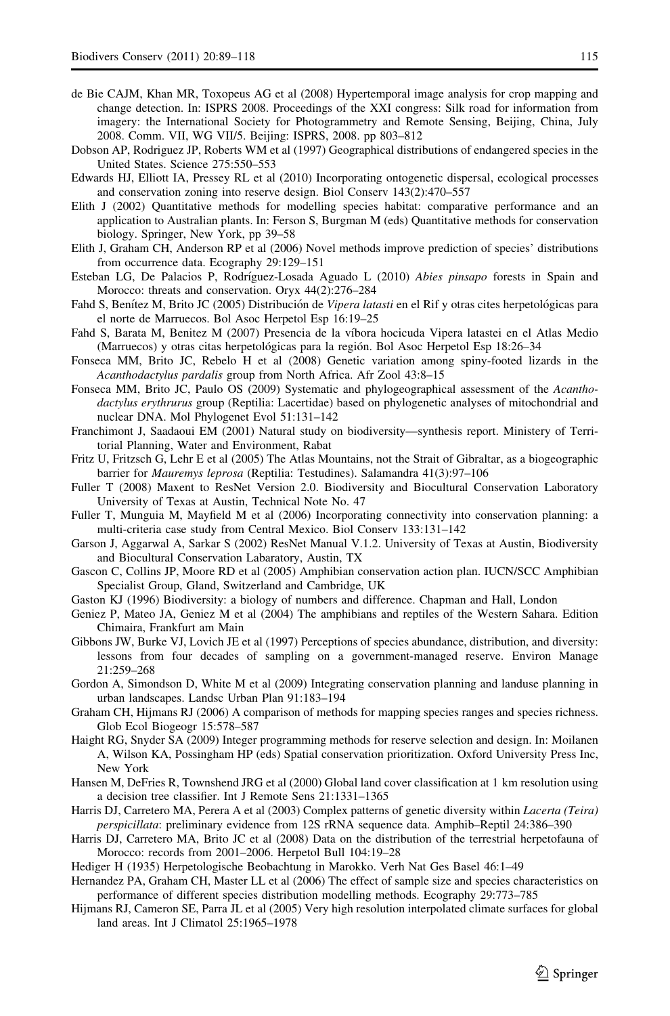- <span id="page-26-0"></span>de Bie CAJM, Khan MR, Toxopeus AG et al (2008) Hypertemporal image analysis for crop mapping and change detection. In: ISPRS 2008. Proceedings of the XXI congress: Silk road for information from imagery: the International Society for Photogrammetry and Remote Sensing, Beijing, China, July 2008. Comm. VII, WG VII/5. Beijing: ISPRS, 2008. pp 803–812
- Dobson AP, Rodriguez JP, Roberts WM et al (1997) Geographical distributions of endangered species in the United States. Science 275:550–553
- Edwards HJ, Elliott IA, Pressey RL et al (2010) Incorporating ontogenetic dispersal, ecological processes and conservation zoning into reserve design. Biol Conserv 143(2):470–557
- Elith J (2002) Quantitative methods for modelling species habitat: comparative performance and an application to Australian plants. In: Ferson S, Burgman M (eds) Quantitative methods for conservation biology. Springer, New York, pp 39–58
- Elith J, Graham CH, Anderson RP et al (2006) Novel methods improve prediction of species' distributions from occurrence data. Ecography 29:129–151
- Esteban LG, De Palacios P, Rodríguez-Losada Aguado L (2010) Abies pinsapo forests in Spain and Morocco: threats and conservation. Oryx 44(2):276–284
- Fahd S, Benítez M, Brito JC (2005) Distribución de Vipera latasti en el Rif y otras cites herpetológicas para el norte de Marruecos. Bol Asoc Herpetol Esp 16:19–25
- Fahd S, Barata M, Benitez M (2007) Presencia de la víbora hocicuda Vipera latastei en el Atlas Medio (Marruecos) y otras citas herpetológicas para la región. Bol Asoc Herpetol Esp 18:26–34
- Fonseca MM, Brito JC, Rebelo H et al (2008) Genetic variation among spiny-footed lizards in the Acanthodactylus pardalis group from North Africa. Afr Zool 43:8–15
- Fonseca MM, Brito JC, Paulo OS (2009) Systematic and phylogeographical assessment of the Acanthodactylus erythrurus group (Reptilia: Lacertidae) based on phylogenetic analyses of mitochondrial and nuclear DNA. Mol Phylogenet Evol 51:131–142
- Franchimont J, Saadaoui EM (2001) Natural study on biodiversity—synthesis report. Ministery of Territorial Planning, Water and Environment, Rabat
- Fritz U, Fritzsch G, Lehr E et al (2005) The Atlas Mountains, not the Strait of Gibraltar, as a biogeographic barrier for Mauremys leprosa (Reptilia: Testudines). Salamandra 41(3):97–106
- Fuller T (2008) Maxent to ResNet Version 2.0. Biodiversity and Biocultural Conservation Laboratory University of Texas at Austin, Technical Note No. 47
- Fuller T, Munguia M, Mayfield M et al (2006) Incorporating connectivity into conservation planning: a multi-criteria case study from Central Mexico. Biol Conserv 133:131–142
- Garson J, Aggarwal A, Sarkar S (2002) ResNet Manual V.1.2. University of Texas at Austin, Biodiversity and Biocultural Conservation Labaratory, Austin, TX
- Gascon C, Collins JP, Moore RD et al (2005) Amphibian conservation action plan. IUCN/SCC Amphibian Specialist Group, Gland, Switzerland and Cambridge, UK
- Gaston KJ (1996) Biodiversity: a biology of numbers and difference. Chapman and Hall, London
- Geniez P, Mateo JA, Geniez M et al (2004) The amphibians and reptiles of the Western Sahara. Edition Chimaira, Frankfurt am Main
- Gibbons JW, Burke VJ, Lovich JE et al (1997) Perceptions of species abundance, distribution, and diversity: lessons from four decades of sampling on a government-managed reserve. Environ Manage 21:259–268
- Gordon A, Simondson D, White M et al (2009) Integrating conservation planning and landuse planning in urban landscapes. Landsc Urban Plan 91:183–194
- Graham CH, Hijmans RJ (2006) A comparison of methods for mapping species ranges and species richness. Glob Ecol Biogeogr 15:578–587
- Haight RG, Snyder SA (2009) Integer programming methods for reserve selection and design. In: Moilanen A, Wilson KA, Possingham HP (eds) Spatial conservation prioritization. Oxford University Press Inc, New York
- Hansen M, DeFries R, Townshend JRG et al (2000) Global land cover classification at 1 km resolution using a decision tree classifier. Int J Remote Sens 21:1331–1365
- Harris DJ, Carretero MA, Perera A et al (2003) Complex patterns of genetic diversity within *Lacerta* (Teira) perspicillata: preliminary evidence from 12S rRNA sequence data. Amphib–Reptil 24:386–390
- Harris DJ, Carretero MA, Brito JC et al (2008) Data on the distribution of the terrestrial herpetofauna of Morocco: records from 2001–2006. Herpetol Bull 104:19–28
- Hediger H (1935) Herpetologische Beobachtung in Marokko. Verh Nat Ges Basel 46:1–49
- Hernandez PA, Graham CH, Master LL et al (2006) The effect of sample size and species characteristics on performance of different species distribution modelling methods. Ecography 29:773–785
- Hijmans RJ, Cameron SE, Parra JL et al (2005) Very high resolution interpolated climate surfaces for global land areas. Int J Climatol 25:1965–1978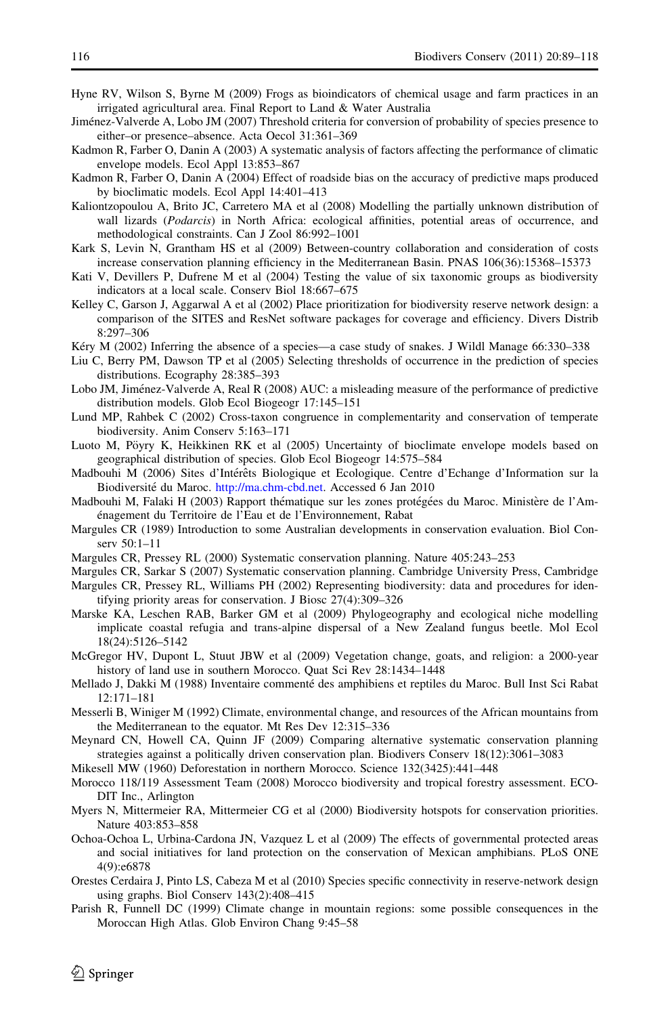- <span id="page-27-0"></span>Hyne RV, Wilson S, Byrne M (2009) Frogs as bioindicators of chemical usage and farm practices in an irrigated agricultural area. Final Report to Land & Water Australia
- Jiménez-Valverde A, Lobo JM (2007) Threshold criteria for conversion of probability of species presence to either–or presence–absence. Acta Oecol 31:361–369
- Kadmon R, Farber O, Danin A (2003) A systematic analysis of factors affecting the performance of climatic envelope models. Ecol Appl 13:853–867
- Kadmon R, Farber O, Danin A (2004) Effect of roadside bias on the accuracy of predictive maps produced by bioclimatic models. Ecol Appl 14:401–413
- Kaliontzopoulou A, Brito JC, Carretero MA et al (2008) Modelling the partially unknown distribution of wall lizards (Podarcis) in North Africa: ecological affinities, potential areas of occurrence, and methodological constraints. Can J Zool 86:992–1001
- Kark S, Levin N, Grantham HS et al (2009) Between-country collaboration and consideration of costs increase conservation planning efficiency in the Mediterranean Basin. PNAS 106(36):15368–15373
- Kati V, Devillers P, Dufrene M et al (2004) Testing the value of six taxonomic groups as biodiversity indicators at a local scale. Conserv Biol 18:667–675
- Kelley C, Garson J, Aggarwal A et al (2002) Place prioritization for biodiversity reserve network design: a comparison of the SITES and ResNet software packages for coverage and efficiency. Divers Distrib 8:297–306
- Kéry M (2002) Inferring the absence of a species—a case study of snakes. J Wildl Manage 66:330–338
- Liu C, Berry PM, Dawson TP et al (2005) Selecting thresholds of occurrence in the prediction of species distributions. Ecography 28:385–393
- Lobo JM, Jiménez-Valverde A, Real R (2008) AUC: a misleading measure of the performance of predictive distribution models. Glob Ecol Biogeogr 17:145–151
- Lund MP, Rahbek C (2002) Cross-taxon congruence in complementarity and conservation of temperate biodiversity. Anim Conserv 5:163–171
- Luoto M, Pöyry K, Heikkinen RK et al (2005) Uncertainty of bioclimate envelope models based on geographical distribution of species. Glob Ecol Biogeogr 14:575–584
- Madbouhi M (2006) Sites d'Intérêts Biologique et Ecologique. Centre d'Echange d'Information sur la Biodiversité du Maroc. [http://ma.chm-cbd.net.](http://ma.chm-cbd.net) Accessed 6 Jan 2010
- Madbouhi M, Falaki H (2003) Rapport thématique sur les zones protégées du Maroc. Ministère de l'Aménagement du Territoire de l'Eau et de l'Environnement, Rabat
- Margules CR (1989) Introduction to some Australian developments in conservation evaluation. Biol Conserv 50:1–11
- Margules CR, Pressey RL (2000) Systematic conservation planning. Nature 405:243–253
- Margules CR, Sarkar S (2007) Systematic conservation planning. Cambridge University Press, Cambridge
- Margules CR, Pressey RL, Williams PH (2002) Representing biodiversity: data and procedures for identifying priority areas for conservation. J Biosc 27(4):309–326
- Marske KA, Leschen RAB, Barker GM et al (2009) Phylogeography and ecological niche modelling implicate coastal refugia and trans-alpine dispersal of a New Zealand fungus beetle. Mol Ecol 18(24):5126–5142
- McGregor HV, Dupont L, Stuut JBW et al (2009) Vegetation change, goats, and religion: a 2000-year history of land use in southern Morocco. Quat Sci Rev 28:1434–1448
- Mellado J, Dakki M (1988) Inventaire commenté des amphibiens et reptiles du Maroc. Bull Inst Sci Rabat 12:171–181
- Messerli B, Winiger M (1992) Climate, environmental change, and resources of the African mountains from the Mediterranean to the equator. Mt Res Dev 12:315–336
- Meynard CN, Howell CA, Quinn JF (2009) Comparing alternative systematic conservation planning strategies against a politically driven conservation plan. Biodivers Conserv 18(12):3061–3083
- Mikesell MW (1960) Deforestation in northern Morocco. Science 132(3425):441–448
- Morocco 118/119 Assessment Team (2008) Morocco biodiversity and tropical forestry assessment. ECO-DIT Inc., Arlington
- Myers N, Mittermeier RA, Mittermeier CG et al (2000) Biodiversity hotspots for conservation priorities. Nature 403:853–858
- Ochoa-Ochoa L, Urbina-Cardona JN, Vazquez L et al (2009) The effects of governmental protected areas and social initiatives for land protection on the conservation of Mexican amphibians. PLoS ONE 4(9):e6878
- Orestes Cerdaira J, Pinto LS, Cabeza M et al (2010) Species specific connectivity in reserve-network design using graphs. Biol Conserv 143(2):408–415
- Parish R, Funnell DC (1999) Climate change in mountain regions: some possible consequences in the Moroccan High Atlas. Glob Environ Chang 9:45–58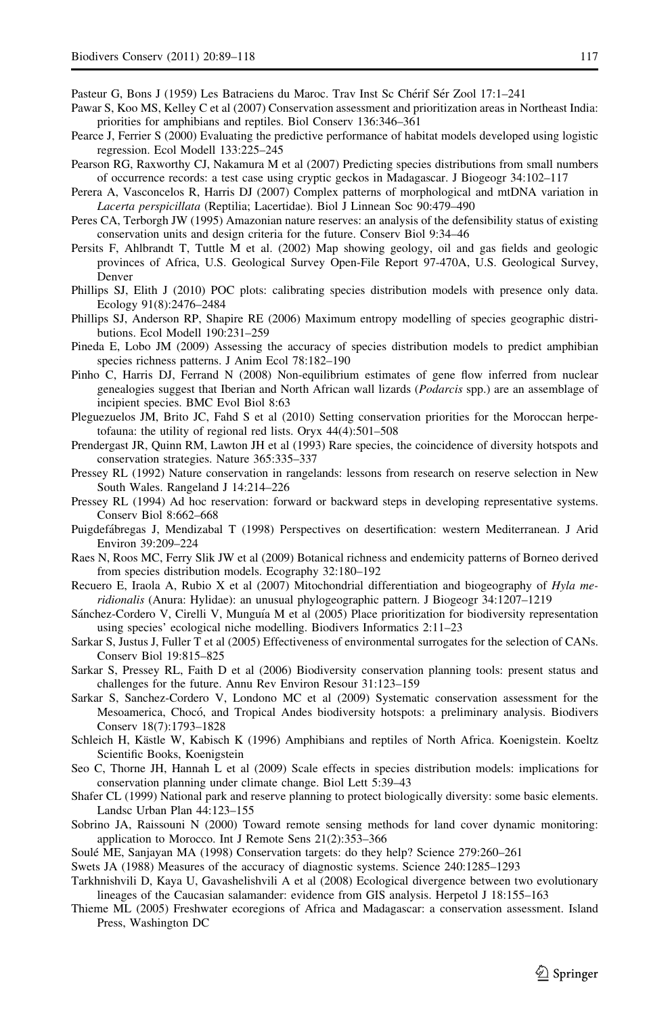<span id="page-28-0"></span>Pasteur G, Bons J (1959) Les Batraciens du Maroc. Trav Inst Sc Chérif Sér Zool 17:1–241

- Pawar S, Koo MS, Kelley C et al (2007) Conservation assessment and prioritization areas in Northeast India: priorities for amphibians and reptiles. Biol Conserv 136:346–361
- Pearce J, Ferrier S (2000) Evaluating the predictive performance of habitat models developed using logistic regression. Ecol Modell 133:225–245
- Pearson RG, Raxworthy CJ, Nakamura M et al (2007) Predicting species distributions from small numbers of occurrence records: a test case using cryptic geckos in Madagascar. J Biogeogr 34:102–117
- Perera A, Vasconcelos R, Harris DJ (2007) Complex patterns of morphological and mtDNA variation in Lacerta perspicillata (Reptilia; Lacertidae). Biol J Linnean Soc 90:479–490
- Peres CA, Terborgh JW (1995) Amazonian nature reserves: an analysis of the defensibility status of existing conservation units and design criteria for the future. Conserv Biol 9:34–46
- Persits F, Ahlbrandt T, Tuttle M et al. (2002) Map showing geology, oil and gas fields and geologic provinces of Africa, U.S. Geological Survey Open-File Report 97-470A, U.S. Geological Survey, Denver
- Phillips SJ, Elith J (2010) POC plots: calibrating species distribution models with presence only data. Ecology 91(8):2476–2484
- Phillips SJ, Anderson RP, Shapire RE (2006) Maximum entropy modelling of species geographic distributions. Ecol Modell 190:231–259
- Pineda E, Lobo JM (2009) Assessing the accuracy of species distribution models to predict amphibian species richness patterns. J Anim Ecol 78:182–190
- Pinho C, Harris DJ, Ferrand N (2008) Non-equilibrium estimates of gene flow inferred from nuclear genealogies suggest that Iberian and North African wall lizards (Podarcis spp.) are an assemblage of incipient species. BMC Evol Biol 8:63
- Pleguezuelos JM, Brito JC, Fahd S et al (2010) Setting conservation priorities for the Moroccan herpetofauna: the utility of regional red lists. Oryx 44(4):501–508
- Prendergast JR, Quinn RM, Lawton JH et al (1993) Rare species, the coincidence of diversity hotspots and conservation strategies. Nature 365:335–337
- Pressey RL (1992) Nature conservation in rangelands: lessons from research on reserve selection in New South Wales. Rangeland J 14:214–226
- Pressey RL (1994) Ad hoc reservation: forward or backward steps in developing representative systems. Conserv Biol 8:662–668
- Puigdefábregas J, Mendizabal T (1998) Perspectives on desertification: western Mediterranean. J Arid Environ 39:209–224
- Raes N, Roos MC, Ferry Slik JW et al (2009) Botanical richness and endemicity patterns of Borneo derived from species distribution models. Ecography 32:180–192
- Recuero E, Iraola A, Rubio X et al (2007) Mitochondrial differentiation and biogeography of Hyla meridionalis (Anura: Hylidae): an unusual phylogeographic pattern. J Biogeogr 34:1207–1219
- Sánchez-Cordero V, Cirelli V, Munguía M et al (2005) Place prioritization for biodiversity representation using species' ecological niche modelling. Biodivers Informatics 2:11–23
- Sarkar S, Justus J, Fuller T et al (2005) Effectiveness of environmental surrogates for the selection of CANs. Conserv Biol 19:815–825
- Sarkar S, Pressey RL, Faith D et al (2006) Biodiversity conservation planning tools: present status and challenges for the future. Annu Rev Environ Resour 31:123–159
- Sarkar S, Sanchez-Cordero V, Londono MC et al (2009) Systematic conservation assessment for the Mesoamerica, Chocó, and Tropical Andes biodiversity hotspots: a preliminary analysis. Biodivers Conserv 18(7):1793–1828
- Schleich H, Kästle W, Kabisch K (1996) Amphibians and reptiles of North Africa. Koenigstein. Koeltz Scientific Books, Koenigstein
- Seo C, Thorne JH, Hannah L et al (2009) Scale effects in species distribution models: implications for conservation planning under climate change. Biol Lett 5:39–43
- Shafer CL (1999) National park and reserve planning to protect biologically diversity: some basic elements. Landsc Urban Plan 44:123–155
- Sobrino JA, Raissouni N (2000) Toward remote sensing methods for land cover dynamic monitoring: application to Morocco. Int J Remote Sens 21(2):353–366
- Soulé ME, Sanjayan MA (1998) Conservation targets: do they help? Science 279:260–261
- Swets JA (1988) Measures of the accuracy of diagnostic systems. Science 240:1285–1293
- Tarkhnishvili D, Kaya U, Gavashelishvili A et al (2008) Ecological divergence between two evolutionary lineages of the Caucasian salamander: evidence from GIS analysis. Herpetol J 18:155–163
- Thieme ML (2005) Freshwater ecoregions of Africa and Madagascar: a conservation assessment. Island Press, Washington DC